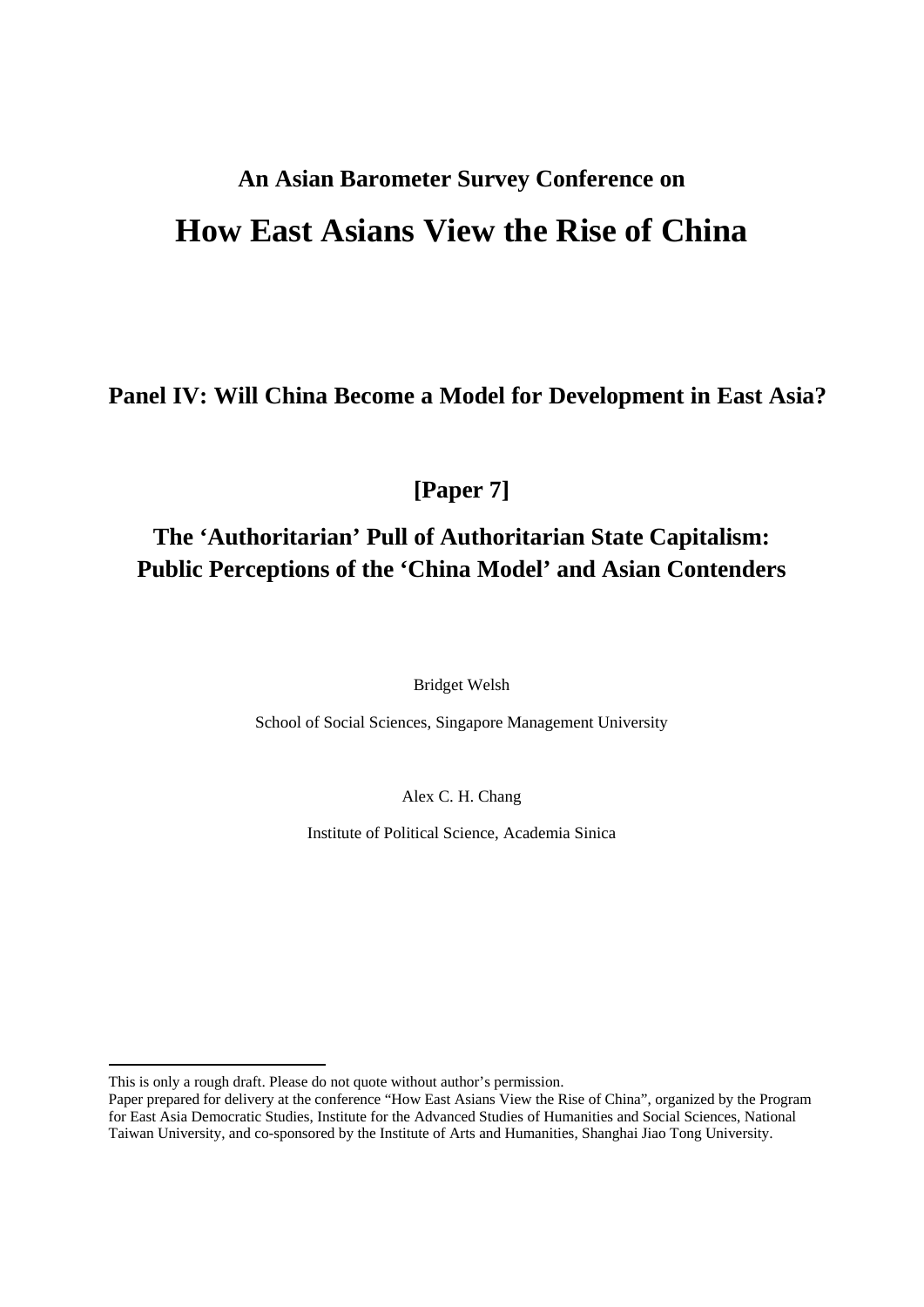# **An Asian Barometer Survey Conference on How East Asians View the Rise of China**

**Panel IV: Will China Become a Model for Development in East Asia?** 

**[Paper 7]** 

# **The 'Authoritarian' Pull of Authoritarian State Capitalism: Public Perceptions of the 'China Model' and Asian Contenders**

Bridget Welsh

School of Social Sciences, Singapore Management University

Alex C. H. Chang

Institute of Political Science, Academia Sinica

This is only a rough draft. Please do not quote without author's permission.

Paper prepared for delivery at the conference "How East Asians View the Rise of China", organized by the Program for East Asia Democratic Studies, Institute for the Advanced Studies of Humanities and Social Sciences, National Taiwan University, and co-sponsored by the Institute of Arts and Humanities, Shanghai Jiao Tong University.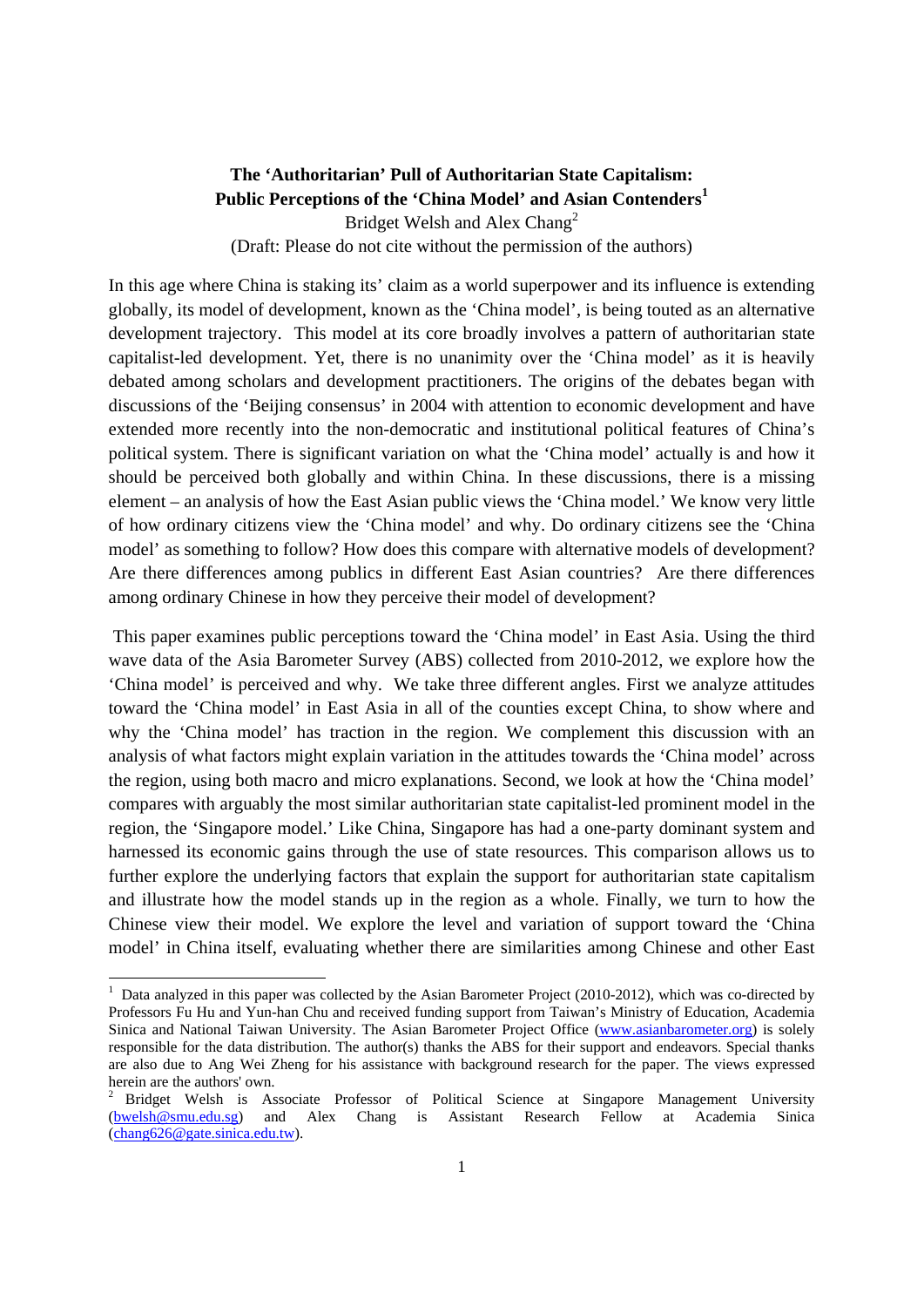# **The 'Authoritarian' Pull of Authoritarian State Capitalism: Public Perceptions of the 'China Model' and Asian Contenders<sup>1</sup>** Bridget Welsh and Alex Chang<sup>2</sup> (Draft: Please do not cite without the permission of the authors)

In this age where China is staking its' claim as a world superpower and its influence is extending globally, its model of development, known as the 'China model', is being touted as an alternative development trajectory. This model at its core broadly involves a pattern of authoritarian state capitalist-led development. Yet, there is no unanimity over the 'China model' as it is heavily debated among scholars and development practitioners. The origins of the debates began with discussions of the 'Beijing consensus' in 2004 with attention to economic development and have extended more recently into the non-democratic and institutional political features of China's political system. There is significant variation on what the 'China model' actually is and how it should be perceived both globally and within China. In these discussions, there is a missing element – an analysis of how the East Asian public views the 'China model.' We know very little of how ordinary citizens view the 'China model' and why. Do ordinary citizens see the 'China model' as something to follow? How does this compare with alternative models of development? Are there differences among publics in different East Asian countries? Are there differences among ordinary Chinese in how they perceive their model of development?

 This paper examines public perceptions toward the 'China model' in East Asia. Using the third wave data of the Asia Barometer Survey (ABS) collected from 2010-2012, we explore how the 'China model' is perceived and why. We take three different angles. First we analyze attitudes toward the 'China model' in East Asia in all of the counties except China, to show where and why the 'China model' has traction in the region. We complement this discussion with an analysis of what factors might explain variation in the attitudes towards the 'China model' across the region, using both macro and micro explanations. Second, we look at how the 'China model' compares with arguably the most similar authoritarian state capitalist-led prominent model in the region, the 'Singapore model.' Like China, Singapore has had a one-party dominant system and harnessed its economic gains through the use of state resources. This comparison allows us to further explore the underlying factors that explain the support for authoritarian state capitalism and illustrate how the model stands up in the region as a whole. Finally, we turn to how the Chinese view their model. We explore the level and variation of support toward the 'China model' in China itself, evaluating whether there are similarities among Chinese and other East

<sup>&</sup>lt;sup>1</sup> Data analyzed in this paper was collected by the Asian Barometer Project (2010-2012), which was co-directed by Professors Fu Hu and Yun-han Chu and received funding support from Taiwan's Ministry of Education, Academia Sinica and National Taiwan University. The Asian Barometer Project Office (www.asianbarometer.org) is solely responsible for the data distribution. The author(s) thanks the ABS for their support and endeavors. Special thanks are also due to Ang Wei Zheng for his assistance with background research for the paper. The views expressed herein are the authors' own.

<sup>2</sup> Bridget Welsh is Associate Professor of Political Science at Singapore Management University (bwelsh@smu.edu.sg) and Alex Chang is Assistant Research Fellow at Academia Sinica (chang626@gate.sinica.edu.tw).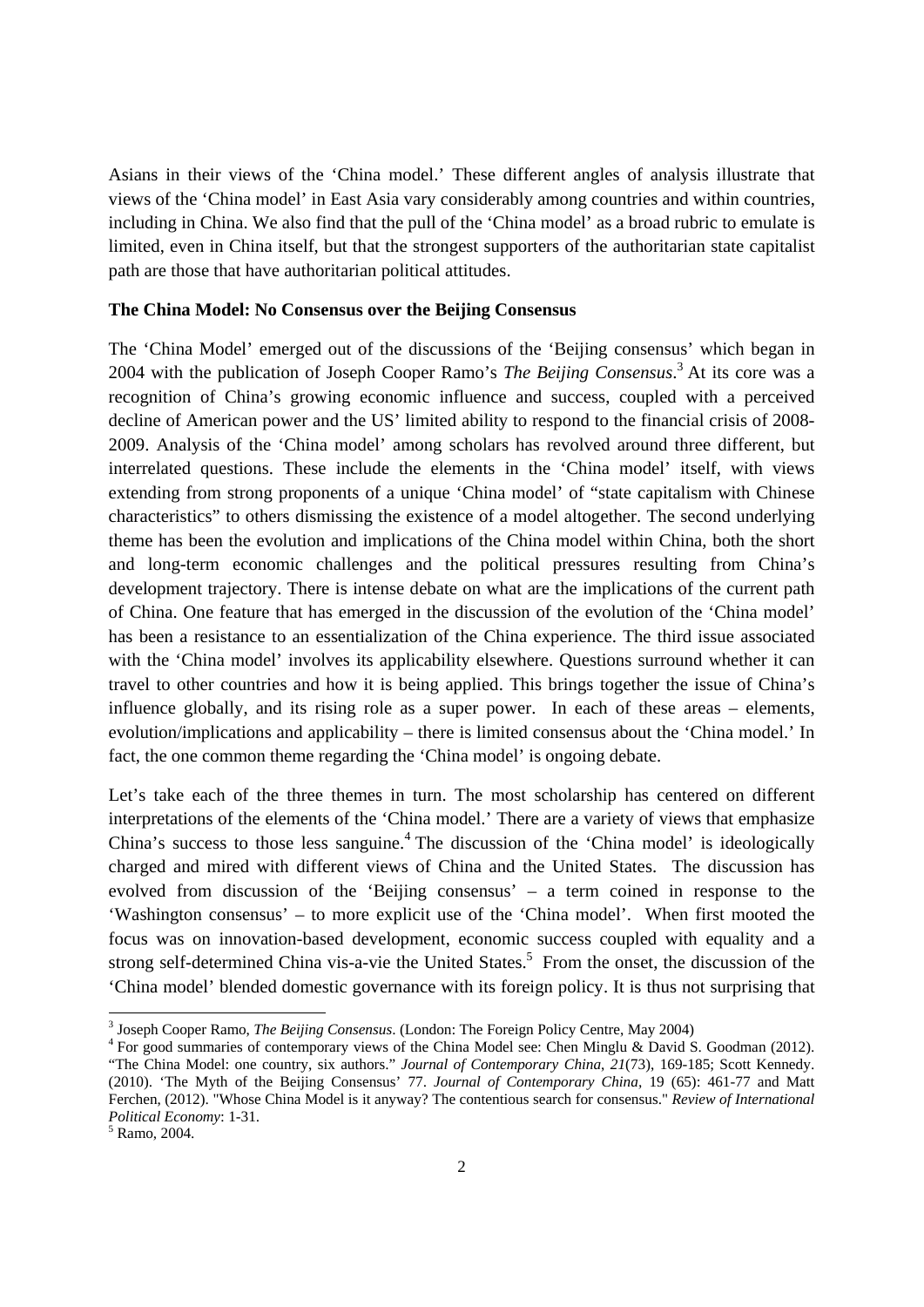Asians in their views of the 'China model.' These different angles of analysis illustrate that views of the 'China model' in East Asia vary considerably among countries and within countries, including in China. We also find that the pull of the 'China model' as a broad rubric to emulate is limited, even in China itself, but that the strongest supporters of the authoritarian state capitalist path are those that have authoritarian political attitudes.

#### **The China Model: No Consensus over the Beijing Consensus**

The 'China Model' emerged out of the discussions of the 'Beijing consensus' which began in 2004 with the publication of Joseph Cooper Ramo's *The Beijing Consensus*. 3 At its core was a recognition of China's growing economic influence and success, coupled with a perceived decline of American power and the US' limited ability to respond to the financial crisis of 2008- 2009. Analysis of the 'China model' among scholars has revolved around three different, but interrelated questions. These include the elements in the 'China model' itself, with views extending from strong proponents of a unique 'China model' of "state capitalism with Chinese characteristics" to others dismissing the existence of a model altogether. The second underlying theme has been the evolution and implications of the China model within China, both the short and long-term economic challenges and the political pressures resulting from China's development trajectory. There is intense debate on what are the implications of the current path of China. One feature that has emerged in the discussion of the evolution of the 'China model' has been a resistance to an essentialization of the China experience. The third issue associated with the 'China model' involves its applicability elsewhere. Questions surround whether it can travel to other countries and how it is being applied. This brings together the issue of China's influence globally, and its rising role as a super power. In each of these areas – elements, evolution/implications and applicability – there is limited consensus about the 'China model.' In fact, the one common theme regarding the 'China model' is ongoing debate.

Let's take each of the three themes in turn. The most scholarship has centered on different interpretations of the elements of the 'China model.' There are a variety of views that emphasize China's success to those less sanguine.<sup>4</sup> The discussion of the 'China model' is ideologically charged and mired with different views of China and the United States. The discussion has evolved from discussion of the 'Beijing consensus' – a term coined in response to the 'Washington consensus' – to more explicit use of the 'China model'. When first mooted the focus was on innovation-based development, economic success coupled with equality and a strong self-determined China vis-a-vie the United States.<sup>5</sup> From the onset, the discussion of the 'China model' blended domestic governance with its foreign policy. It is thus not surprising that

<sup>&</sup>lt;sup>3</sup> Joseph Cooper Ramo, *The Beijing Consensus*. (London: The Foreign Policy Centre, May 2004)

<sup>&</sup>lt;sup>4</sup> For good summaries of contemporary views of the China Model see: Chen Minglu & David S. Goodman (2012). "The China Model: one country, six authors." *Journal of Contemporary China*, *21*(73), 169-185; Scott Kennedy. (2010). 'The Myth of the Beijing Consensus' 77. *Journal of Contemporary China,* 19 (65): 461-77 and Matt Ferchen, (2012). "Whose China Model is it anyway? The contentious search for consensus." *Review of International Political Economy*: 1-31.

 $5$  Ramo, 2004.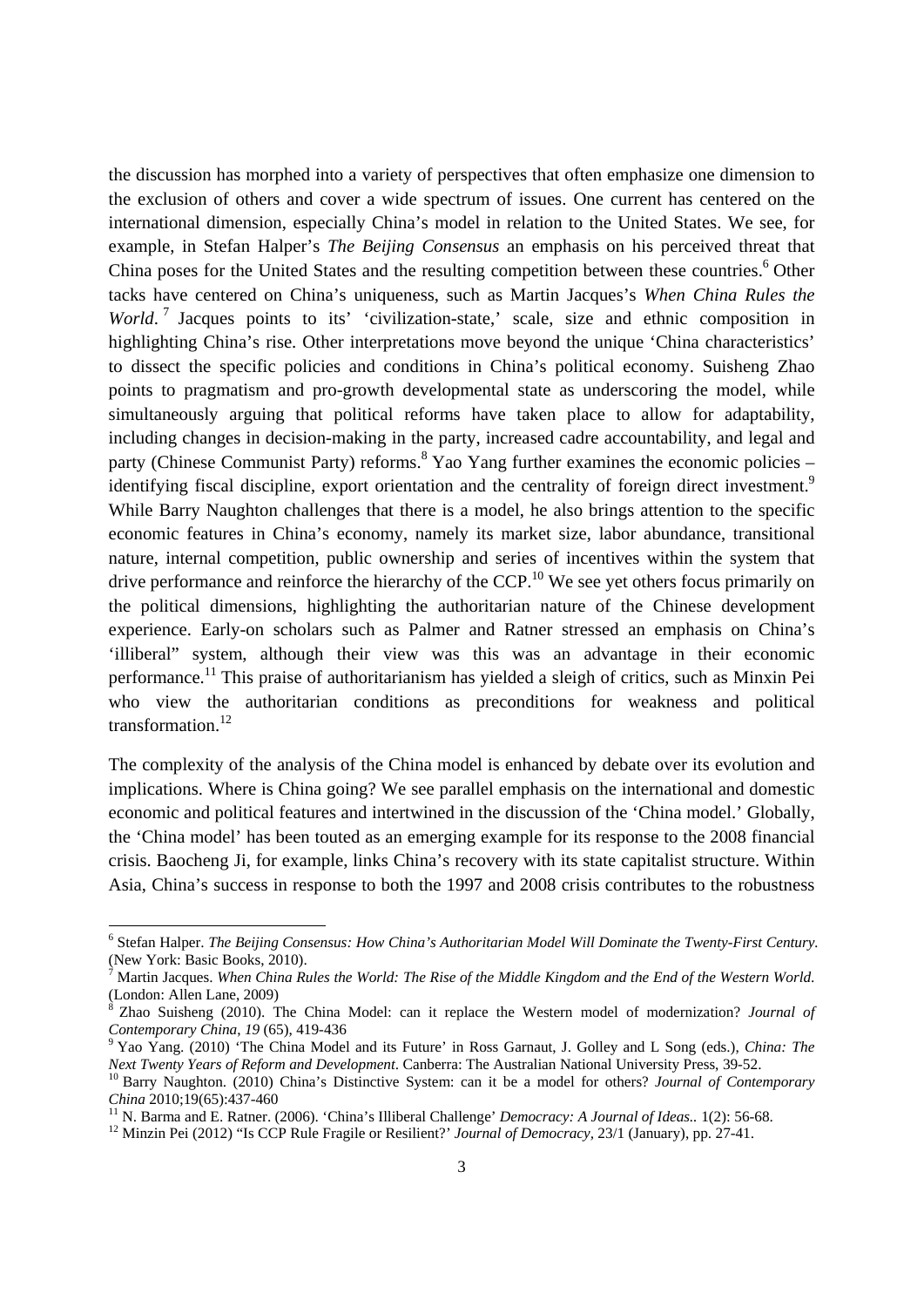the discussion has morphed into a variety of perspectives that often emphasize one dimension to the exclusion of others and cover a wide spectrum of issues. One current has centered on the international dimension, especially China's model in relation to the United States. We see, for example, in Stefan Halper's *The Beijing Consensus* an emphasis on his perceived threat that China poses for the United States and the resulting competition between these countries.<sup>6</sup> Other tacks have centered on China's uniqueness, such as Martin Jacques's *When China Rules the World*.<sup>7</sup> Jacques points to its' 'civilization-state,' scale, size and ethnic composition in highlighting China's rise. Other interpretations move beyond the unique 'China characteristics' to dissect the specific policies and conditions in China's political economy. Suisheng Zhao points to pragmatism and pro-growth developmental state as underscoring the model, while simultaneously arguing that political reforms have taken place to allow for adaptability, including changes in decision-making in the party, increased cadre accountability, and legal and party (Chinese Communist Party) reforms.<sup>8</sup> Yao Yang further examines the economic policies – identifying fiscal discipline, export orientation and the centrality of foreign direct investment.<sup>9</sup> While Barry Naughton challenges that there is a model, he also brings attention to the specific economic features in China's economy, namely its market size, labor abundance, transitional nature, internal competition, public ownership and series of incentives within the system that drive performance and reinforce the hierarchy of the CCP.<sup>10</sup> We see yet others focus primarily on the political dimensions, highlighting the authoritarian nature of the Chinese development experience. Early-on scholars such as Palmer and Ratner stressed an emphasis on China's 'illiberal" system, although their view was this was an advantage in their economic performance.<sup>11</sup> This praise of authoritarianism has yielded a sleigh of critics, such as Minxin Pei who view the authoritarian conditions as preconditions for weakness and political transformation.<sup>12</sup>

The complexity of the analysis of the China model is enhanced by debate over its evolution and implications. Where is China going? We see parallel emphasis on the international and domestic economic and political features and intertwined in the discussion of the 'China model.' Globally, the 'China model' has been touted as an emerging example for its response to the 2008 financial crisis. Baocheng Ji, for example, links China's recovery with its state capitalist structure. Within Asia, China's success in response to both the 1997 and 2008 crisis contributes to the robustness

<sup>6</sup> Stefan Halper. *The Beijing Consensus: How China's Authoritarian Model Will Dominate the Twenty-First Century.* (New York: Basic Books, 2010).

<sup>7</sup> Martin Jacques. *When China Rules the World: The Rise of the Middle Kingdom and the End of the Western World*. (London: Allen Lane, 2009)

<sup>8</sup> Zhao Suisheng (2010). The China Model: can it replace the Western model of modernization? *Journal of Contemporary China*, 19 (65), 419-436

<sup>&</sup>lt;sup>9</sup> Yao Yang. (2010) 'The China Model and its Future' in Ross Garnaut, J. Golley and L Song (eds.), *China: The Next Twenty Years of Reform and Development*. Canberra: The Australian National University Press, 39-52.

<sup>&</sup>lt;sup>10</sup> Barry Naughton. (2010) China's Distinctive System: can it be a model for others? Journal of Contemporary China 2010;19(65):437-460<br><sup>11</sup> N. Barma and E. Ratner. (2006). 'China's Illiberal Challenge' Democracy: A Journal of Ideas.. 1(2): 56-68.<br><sup>12</sup> Minzin Pei (2012) "Is CCP Rule Fragile or Resilient?' Journal of Democracy, 23/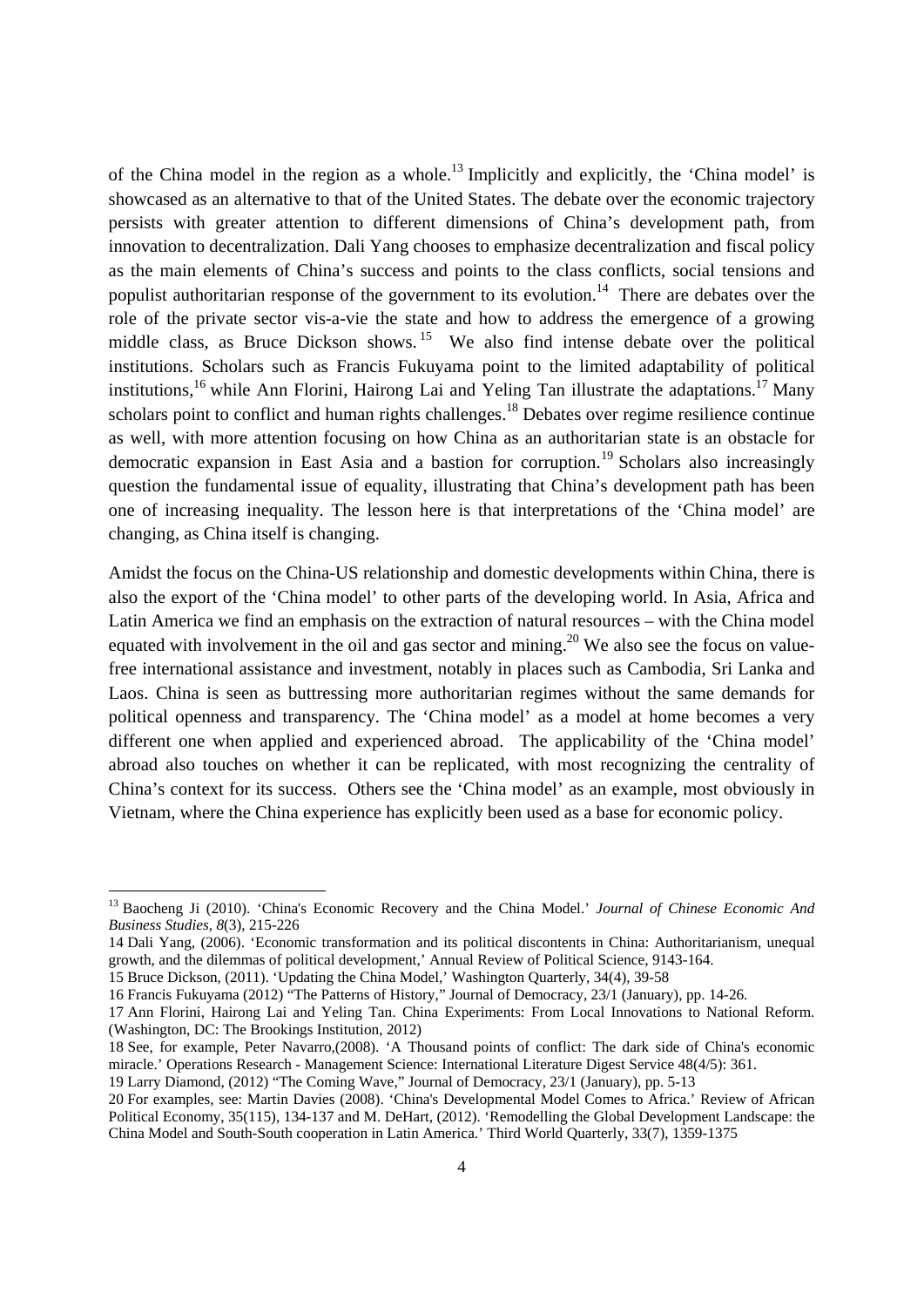of the China model in the region as a whole.<sup>13</sup> Implicitly and explicitly, the 'China model' is showcased as an alternative to that of the United States. The debate over the economic trajectory persists with greater attention to different dimensions of China's development path, from innovation to decentralization. Dali Yang chooses to emphasize decentralization and fiscal policy as the main elements of China's success and points to the class conflicts, social tensions and populist authoritarian response of the government to its evolution.<sup>14</sup> There are debates over the role of the private sector vis-a-vie the state and how to address the emergence of a growing middle class, as Bruce Dickson shows. 15 We also find intense debate over the political institutions. Scholars such as Francis Fukuyama point to the limited adaptability of political institutions,<sup>16</sup> while Ann Florini, Hairong Lai and Yeling Tan illustrate the adaptations.<sup>17</sup> Many scholars point to conflict and human rights challenges.<sup>18</sup> Debates over regime resilience continue as well, with more attention focusing on how China as an authoritarian state is an obstacle for democratic expansion in East Asia and a bastion for corruption.<sup>19</sup> Scholars also increasingly question the fundamental issue of equality, illustrating that China's development path has been one of increasing inequality. The lesson here is that interpretations of the 'China model' are changing, as China itself is changing.

Amidst the focus on the China-US relationship and domestic developments within China, there is also the export of the 'China model' to other parts of the developing world. In Asia, Africa and Latin America we find an emphasis on the extraction of natural resources – with the China model equated with involvement in the oil and gas sector and mining.<sup>20</sup> We also see the focus on valuefree international assistance and investment, notably in places such as Cambodia, Sri Lanka and Laos. China is seen as buttressing more authoritarian regimes without the same demands for political openness and transparency. The 'China model' as a model at home becomes a very different one when applied and experienced abroad. The applicability of the 'China model' abroad also touches on whether it can be replicated, with most recognizing the centrality of China's context for its success. Others see the 'China model' as an example, most obviously in Vietnam, where the China experience has explicitly been used as a base for economic policy.

<sup>13</sup> Baocheng Ji (2010). 'China's Economic Recovery and the China Model.' *Journal of Chinese Economic And Business Studies*, *8*(3), 215-226

<sup>14</sup> Dali Yang, (2006). 'Economic transformation and its political discontents in China: Authoritarianism, unequal growth, and the dilemmas of political development,' Annual Review of Political Science, 9143-164.

<sup>15</sup> Bruce Dickson, (2011). 'Updating the China Model,' Washington Quarterly, 34(4), 39-58

<sup>16</sup> Francis Fukuyama (2012) "The Patterns of History," Journal of Democracy, 23/1 (January), pp. 14-26.

<sup>17</sup> Ann Florini, Hairong Lai and Yeling Tan. China Experiments: From Local Innovations to National Reform. (Washington, DC: The Brookings Institution, 2012)

<sup>18</sup> See, for example, Peter Navarro,(2008). 'A Thousand points of conflict: The dark side of China's economic miracle.' Operations Research - Management Science: International Literature Digest Service 48(4/5): 361.

<sup>19</sup> Larry Diamond, (2012) "The Coming Wave," Journal of Democracy, 23/1 (January), pp. 5-13

<sup>20</sup> For examples, see: Martin Davies (2008). 'China's Developmental Model Comes to Africa.' Review of African Political Economy, 35(115), 134-137 and M. DeHart, (2012). 'Remodelling the Global Development Landscape: the China Model and South-South cooperation in Latin America.' Third World Quarterly, 33(7), 1359-1375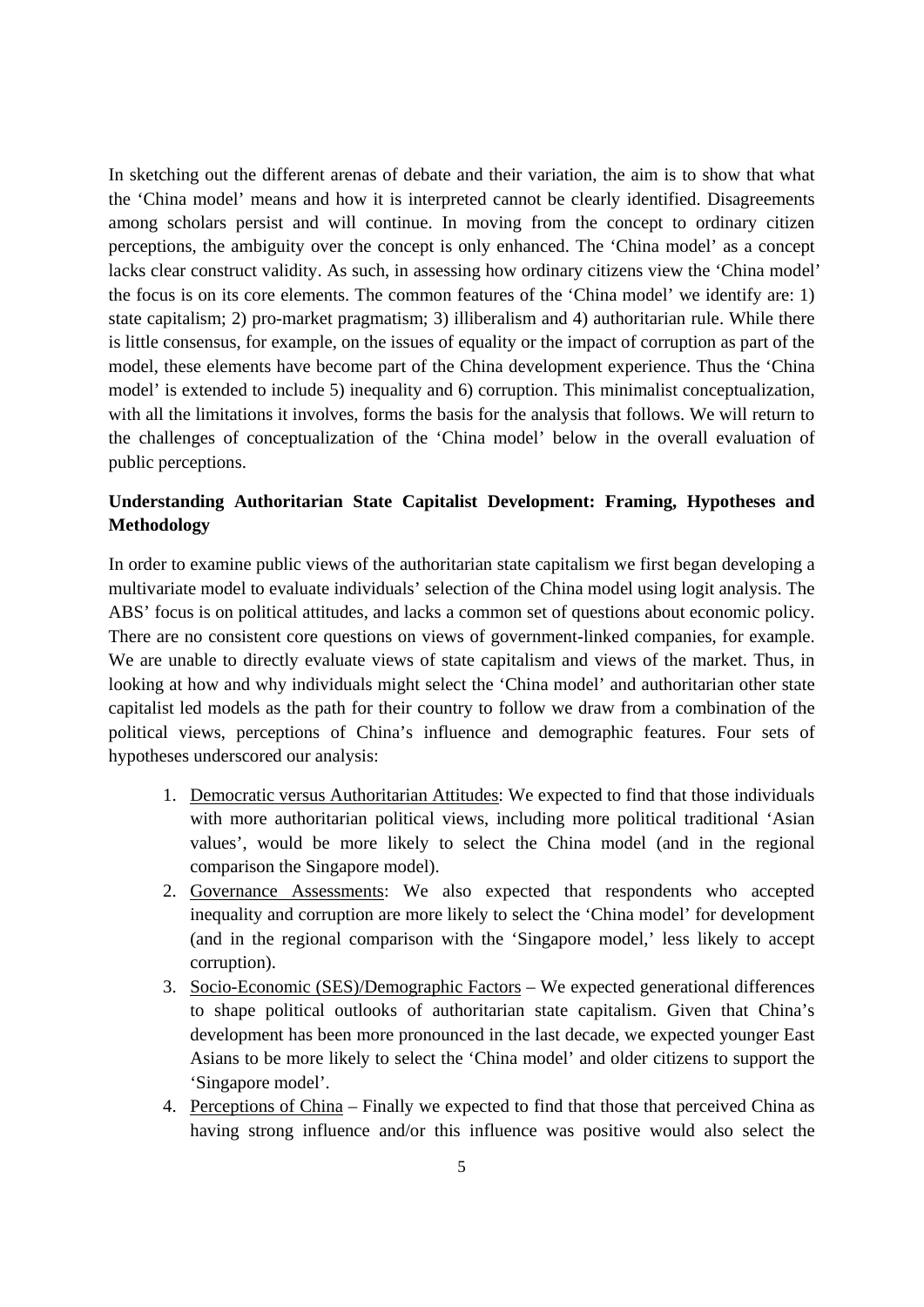In sketching out the different arenas of debate and their variation, the aim is to show that what the 'China model' means and how it is interpreted cannot be clearly identified. Disagreements among scholars persist and will continue. In moving from the concept to ordinary citizen perceptions, the ambiguity over the concept is only enhanced. The 'China model' as a concept lacks clear construct validity. As such, in assessing how ordinary citizens view the 'China model' the focus is on its core elements. The common features of the 'China model' we identify are: 1) state capitalism; 2) pro-market pragmatism; 3) illiberalism and 4) authoritarian rule. While there is little consensus, for example, on the issues of equality or the impact of corruption as part of the model, these elements have become part of the China development experience. Thus the 'China model' is extended to include 5) inequality and 6) corruption. This minimalist conceptualization, with all the limitations it involves, forms the basis for the analysis that follows. We will return to the challenges of conceptualization of the 'China model' below in the overall evaluation of public perceptions.

# **Understanding Authoritarian State Capitalist Development: Framing, Hypotheses and Methodology**

In order to examine public views of the authoritarian state capitalism we first began developing a multivariate model to evaluate individuals' selection of the China model using logit analysis. The ABS' focus is on political attitudes, and lacks a common set of questions about economic policy. There are no consistent core questions on views of government-linked companies, for example. We are unable to directly evaluate views of state capitalism and views of the market. Thus, in looking at how and why individuals might select the 'China model' and authoritarian other state capitalist led models as the path for their country to follow we draw from a combination of the political views, perceptions of China's influence and demographic features. Four sets of hypotheses underscored our analysis:

- 1. Democratic versus Authoritarian Attitudes: We expected to find that those individuals with more authoritarian political views, including more political traditional 'Asian values', would be more likely to select the China model (and in the regional comparison the Singapore model).
- 2. Governance Assessments: We also expected that respondents who accepted inequality and corruption are more likely to select the 'China model' for development (and in the regional comparison with the 'Singapore model,' less likely to accept corruption).
- 3. Socio-Economic (SES)/Demographic Factors We expected generational differences to shape political outlooks of authoritarian state capitalism. Given that China's development has been more pronounced in the last decade, we expected younger East Asians to be more likely to select the 'China model' and older citizens to support the 'Singapore model'.
- 4. Perceptions of China Finally we expected to find that those that perceived China as having strong influence and/or this influence was positive would also select the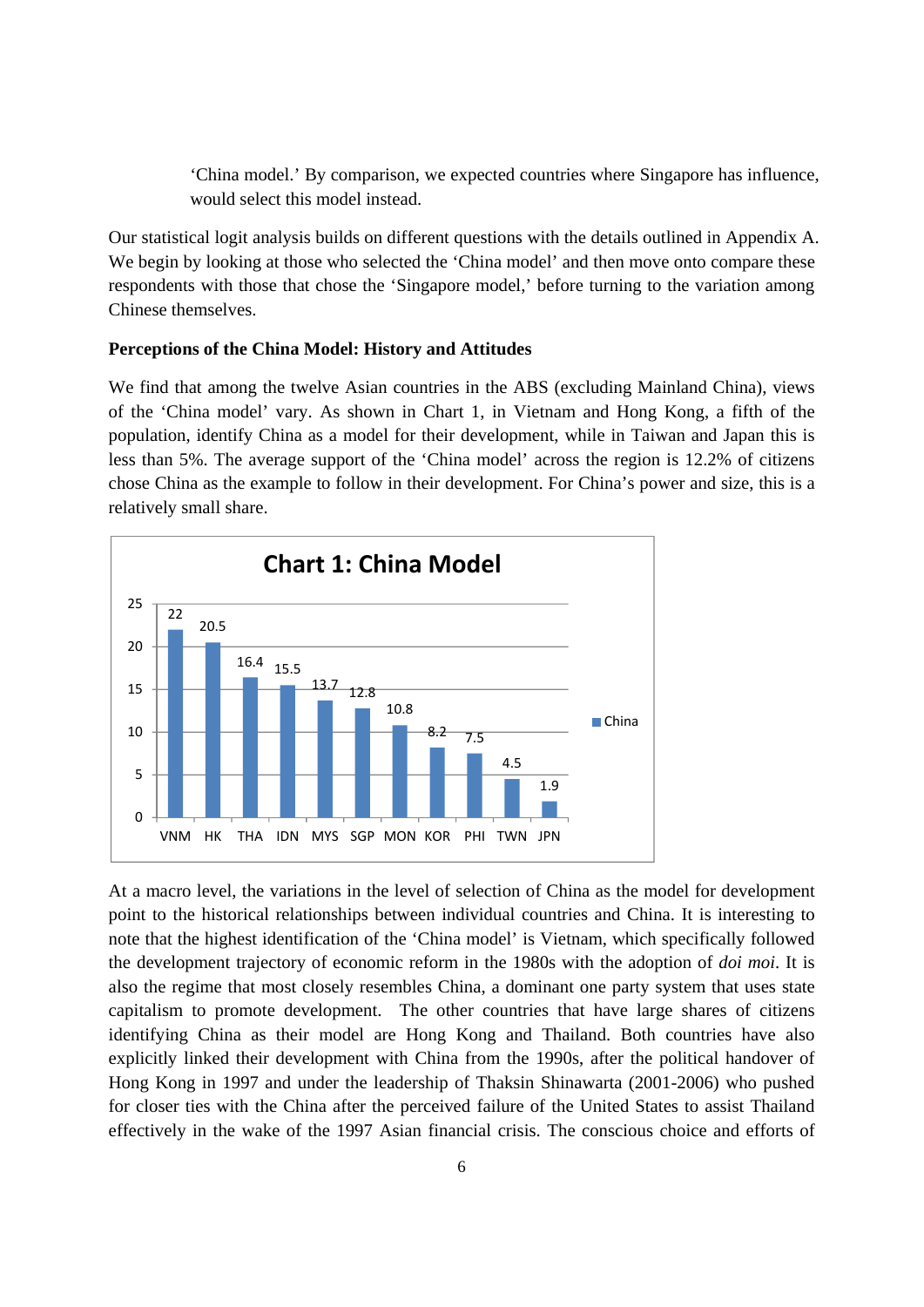'China model.' By comparison, we expected countries where Singapore has influence, would select this model instead.

Our statistical logit analysis builds on different questions with the details outlined in Appendix A. We begin by looking at those who selected the 'China model' and then move onto compare these respondents with those that chose the 'Singapore model,' before turning to the variation among Chinese themselves.

#### **Perceptions of the China Model: History and Attitudes**

We find that among the twelve Asian countries in the ABS (excluding Mainland China), views of the 'China model' vary. As shown in Chart 1, in Vietnam and Hong Kong, a fifth of the population, identify China as a model for their development, while in Taiwan and Japan this is less than 5%. The average support of the 'China model' across the region is 12.2% of citizens chose China as the example to follow in their development. For China's power and size, this is a relatively small share.



At a macro level, the variations in the level of selection of China as the model for development point to the historical relationships between individual countries and China. It is interesting to note that the highest identification of the 'China model' is Vietnam, which specifically followed the development trajectory of economic reform in the 1980s with the adoption of *doi moi*. It is also the regime that most closely resembles China, a dominant one party system that uses state capitalism to promote development. The other countries that have large shares of citizens identifying China as their model are Hong Kong and Thailand. Both countries have also explicitly linked their development with China from the 1990s, after the political handover of Hong Kong in 1997 and under the leadership of Thaksin Shinawarta (2001-2006) who pushed for closer ties with the China after the perceived failure of the United States to assist Thailand effectively in the wake of the 1997 Asian financial crisis. The conscious choice and efforts of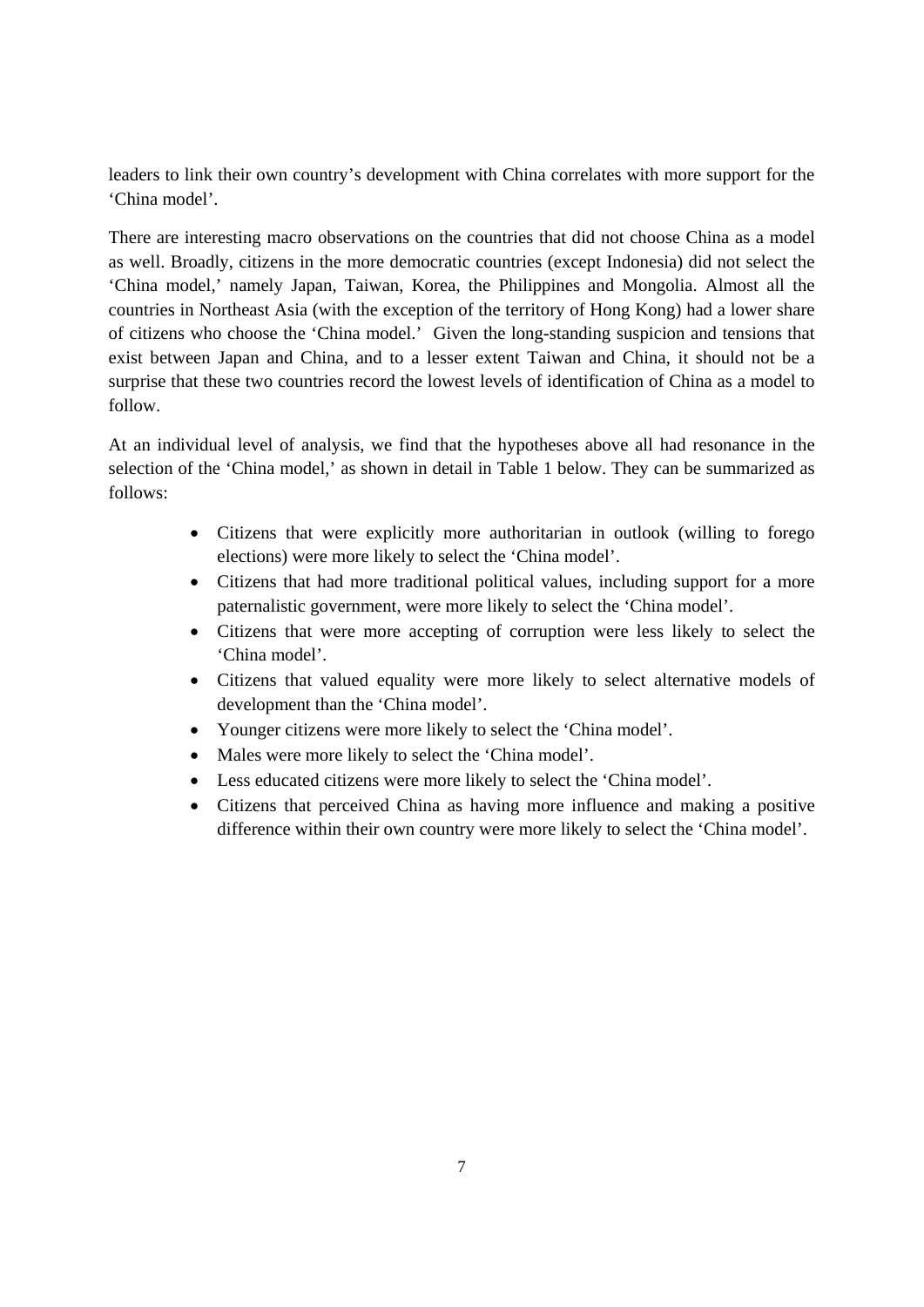leaders to link their own country's development with China correlates with more support for the 'China model'.

There are interesting macro observations on the countries that did not choose China as a model as well. Broadly, citizens in the more democratic countries (except Indonesia) did not select the 'China model,' namely Japan, Taiwan, Korea, the Philippines and Mongolia. Almost all the countries in Northeast Asia (with the exception of the territory of Hong Kong) had a lower share of citizens who choose the 'China model.' Given the long-standing suspicion and tensions that exist between Japan and China, and to a lesser extent Taiwan and China, it should not be a surprise that these two countries record the lowest levels of identification of China as a model to follow.

At an individual level of analysis, we find that the hypotheses above all had resonance in the selection of the 'China model,' as shown in detail in Table 1 below. They can be summarized as follows:

- Citizens that were explicitly more authoritarian in outlook (willing to forego elections) were more likely to select the 'China model'.
- Citizens that had more traditional political values, including support for a more paternalistic government, were more likely to select the 'China model'.
- Citizens that were more accepting of corruption were less likely to select the 'China model'.
- Citizens that valued equality were more likely to select alternative models of development than the 'China model'.
- Younger citizens were more likely to select the 'China model'.
- Males were more likely to select the 'China model'.
- Less educated citizens were more likely to select the 'China model'.
- Citizens that perceived China as having more influence and making a positive difference within their own country were more likely to select the 'China model'.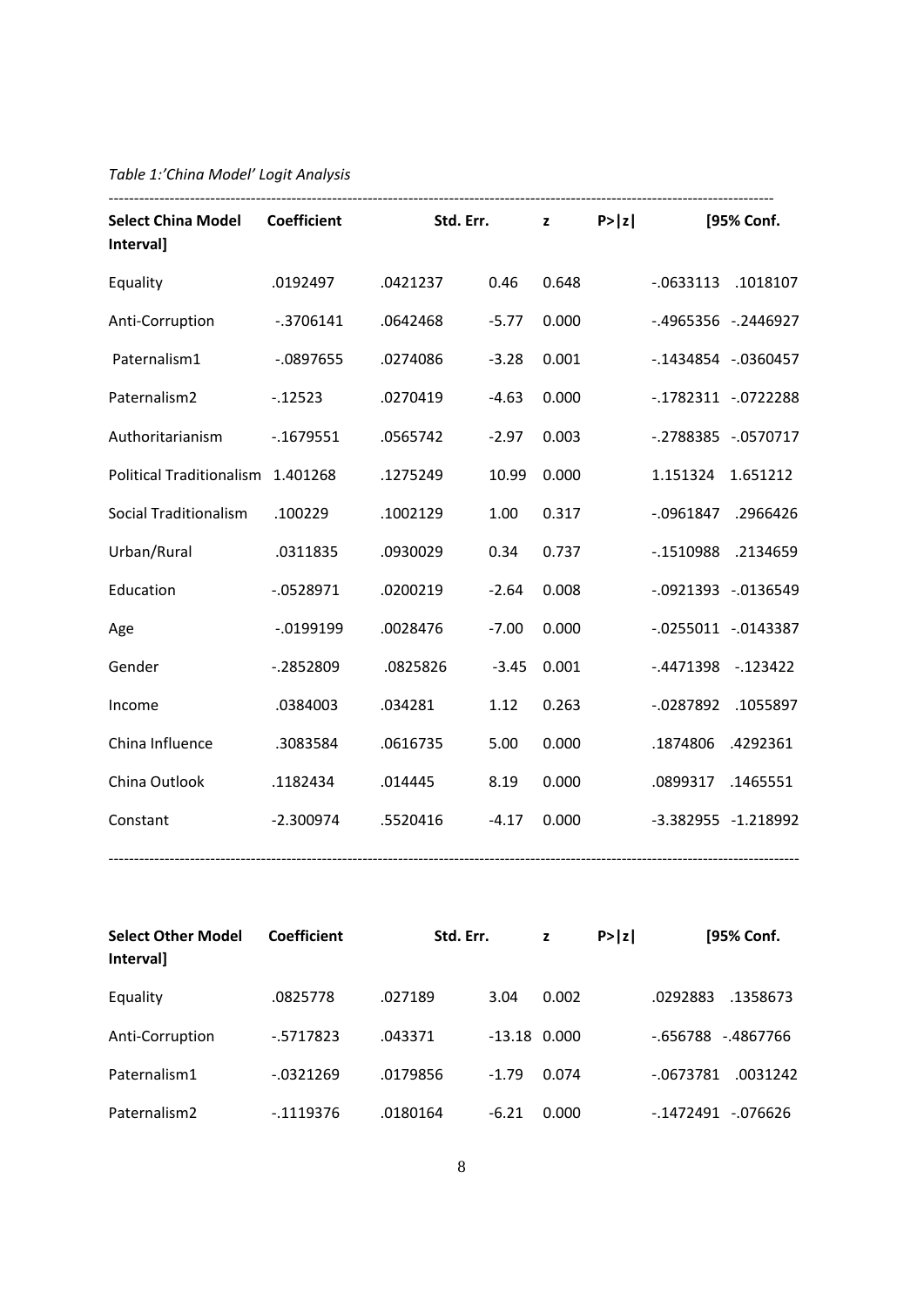# *Table 1:'China Model' Logit Analysis*

| Select China Model Coefficient<br><b>Intervall</b> |              |          | Std. Err. $z \qquad P >  z $ |       |                           | [95% Conf. |
|----------------------------------------------------|--------------|----------|------------------------------|-------|---------------------------|------------|
| Equality                                           | .0192497     | .0421237 | 0.46                         | 0.648 | $-0633113$ .1018107       |            |
| Anti-Corruption                                    | $-3706141$   | .0642468 | $-5.77$                      | 0.000 | -.4965356 -.2446927       |            |
| Paternalism1                                       | $-0897655$   | .0274086 | $-3.28$                      | 0.001 | -.1434854 -.0360457       |            |
| Paternalism2                                       | $-12523$     | .0270419 | $-4.63$                      | 0.000 | $-0.1782311$ $-0.0722288$ |            |
| Authoritarianism                                   | $-1679551$   | .0565742 | $-2.97$                      | 0.003 | -.2788385 -.0570717       |            |
| Political Traditionalism 1.401268                  |              | .1275249 | 10.99                        | 0.000 | 1.151324 1.651212         |            |
| Social Traditionalism                              | .100229      | .1002129 | 1.00                         | 0.317 | -.0961847 .2966426        |            |
| Urban/Rural                                        | .0311835     | .0930029 | 0.34                         | 0.737 | $-1510988$                | .2134659   |
| Education                                          | $-0528971$   | .0200219 | $-2.64$                      | 0.008 | -.0921393 -.0136549       |            |
| Age                                                | $-0.0199199$ | .0028476 | $-7.00$                      | 0.000 | $-0.0255011 - 0.0143387$  |            |
| Gender                                             | $-0.2852809$ | .0825826 | $-3.45$                      | 0.001 | $-.4471398-.123422$       |            |
| Income                                             | .0384003     | .034281  | 1.12                         | 0.263 | -.0287892 .1055897        |            |
| China Influence                                    | .3083584     | .0616735 | 5.00                         | 0.000 | .1874806 .4292361         |            |
| China Outlook                                      | .1182434     | .014445  | 8.19                         | 0.000 | .0899317 .1465551         |            |
| Constant                                           | $-2.300974$  | .5520416 | $-4.17$                      | 0.000 | -3.382955 -1.218992       |            |

| <b>Select Other Model</b><br>Interval] | <b>Coefficient</b> | Std. Err. |                | z     | P >  z |            | [95% Conf. |
|----------------------------------------|--------------------|-----------|----------------|-------|--------|------------|------------|
| Equality                               | .0825778           | .027189   | 3.04           | 0.002 |        | .0292883   | .1358673   |
| Anti-Corruption                        | $-5717823$         | .043371   | $-13.18$ 0.000 |       |        | -.656788   | -.4867766  |
| Paternalism1                           | $-0321269$         | .0179856  | $-1.79$        | 0.074 |        | $-0673781$ | .0031242   |
| Paternalism <sub>2</sub>               | $-1119376$         | .0180164  | $-6.21$        | 0.000 |        | -.1472491  | -.076626   |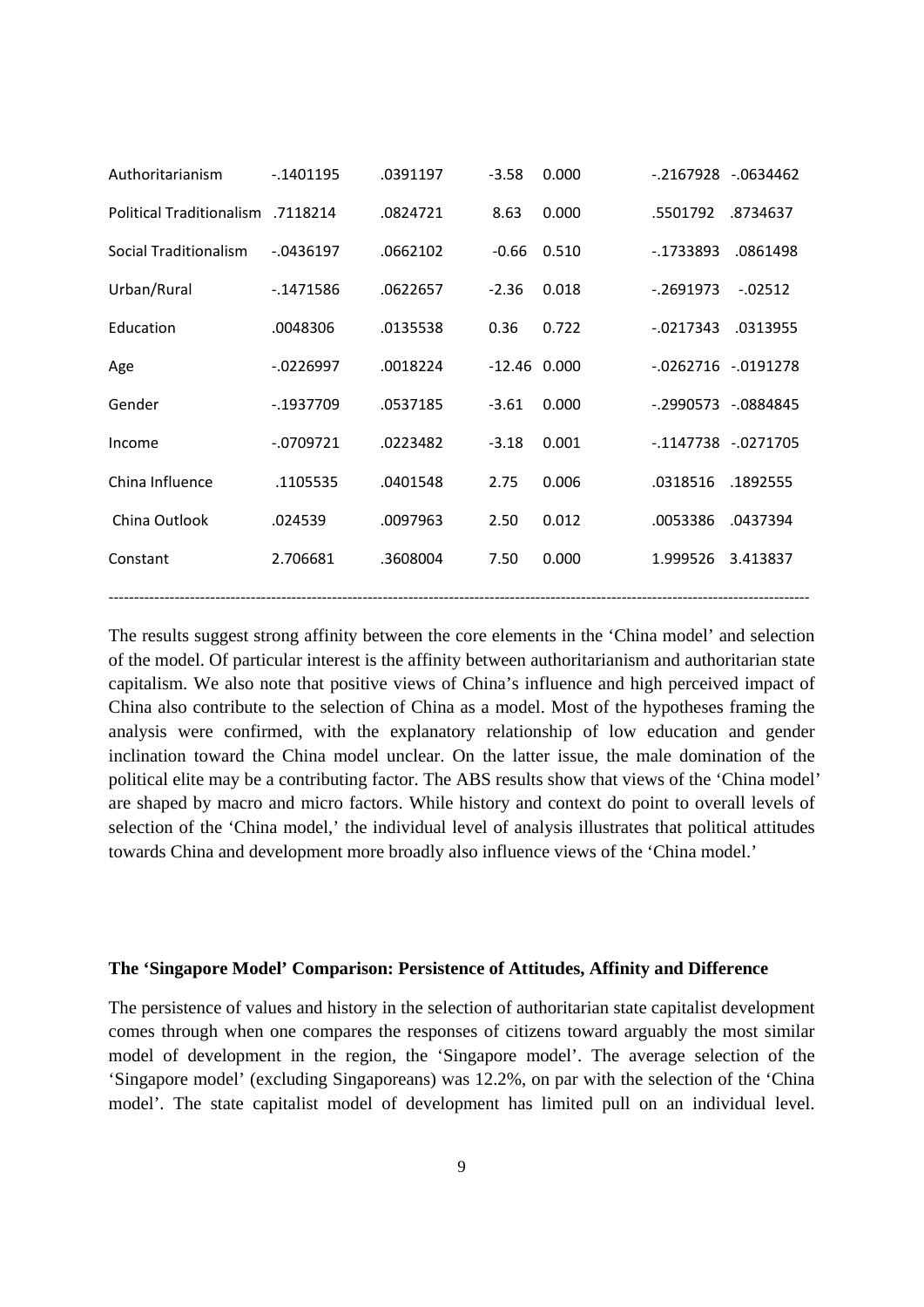| Authoritarianism         | $-1401195$   | .0391197 | $-3.58$        | 0.000 | -.2167928 -.0634462 |                          |
|--------------------------|--------------|----------|----------------|-------|---------------------|--------------------------|
| Political Traditionalism | .7118214     | .0824721 | 8.63           | 0.000 | .5501792            | .8734637                 |
| Social Traditionalism    | $-0.0436197$ | .0662102 | $-0.66$        | 0.510 | $-1733893$          | .0861498                 |
| Urban/Rural              | $-1471586$   | .0622657 | $-2.36$        | 0.018 | $-0.2691973$        | $-0.02512$               |
| Education                | .0048306     | .0135538 | 0.36           | 0.722 | $-0.0217343$        | .0313955                 |
| Age                      | $-0226997$   | .0018224 | $-12.46$ 0.000 |       |                     | $-0.0262716 - 0.0191278$ |
| Gender                   | $-1937709$   | .0537185 | $-3.61$        | 0.000 | -.2990573 -.0884845 |                          |
| Income                   | $-0709721$   | .0223482 | $-3.18$        | 0.001 | -.1147738 -.0271705 |                          |
| China Influence          | .1105535     | .0401548 | 2.75           | 0.006 | .0318516            | .1892555                 |
| China Outlook            | .024539      | .0097963 | 2.50           | 0.012 | .0053386            | .0437394                 |
| Constant                 | 2.706681     | .3608004 | 7.50           | 0.000 | 1.999526            | 3.413837                 |
|                          |              |          |                |       |                     |                          |

The results suggest strong affinity between the core elements in the 'China model' and selection of the model. Of particular interest is the affinity between authoritarianism and authoritarian state capitalism. We also note that positive views of China's influence and high perceived impact of China also contribute to the selection of China as a model. Most of the hypotheses framing the analysis were confirmed, with the explanatory relationship of low education and gender inclination toward the China model unclear. On the latter issue, the male domination of the political elite may be a contributing factor. The ABS results show that views of the 'China model' are shaped by macro and micro factors. While history and context do point to overall levels of selection of the 'China model,' the individual level of analysis illustrates that political attitudes towards China and development more broadly also influence views of the 'China model.'

#### **The 'Singapore Model' Comparison: Persistence of Attitudes, Affinity and Difference**

The persistence of values and history in the selection of authoritarian state capitalist development comes through when one compares the responses of citizens toward arguably the most similar model of development in the region, the 'Singapore model'. The average selection of the 'Singapore model' (excluding Singaporeans) was 12.2%, on par with the selection of the 'China model'. The state capitalist model of development has limited pull on an individual level.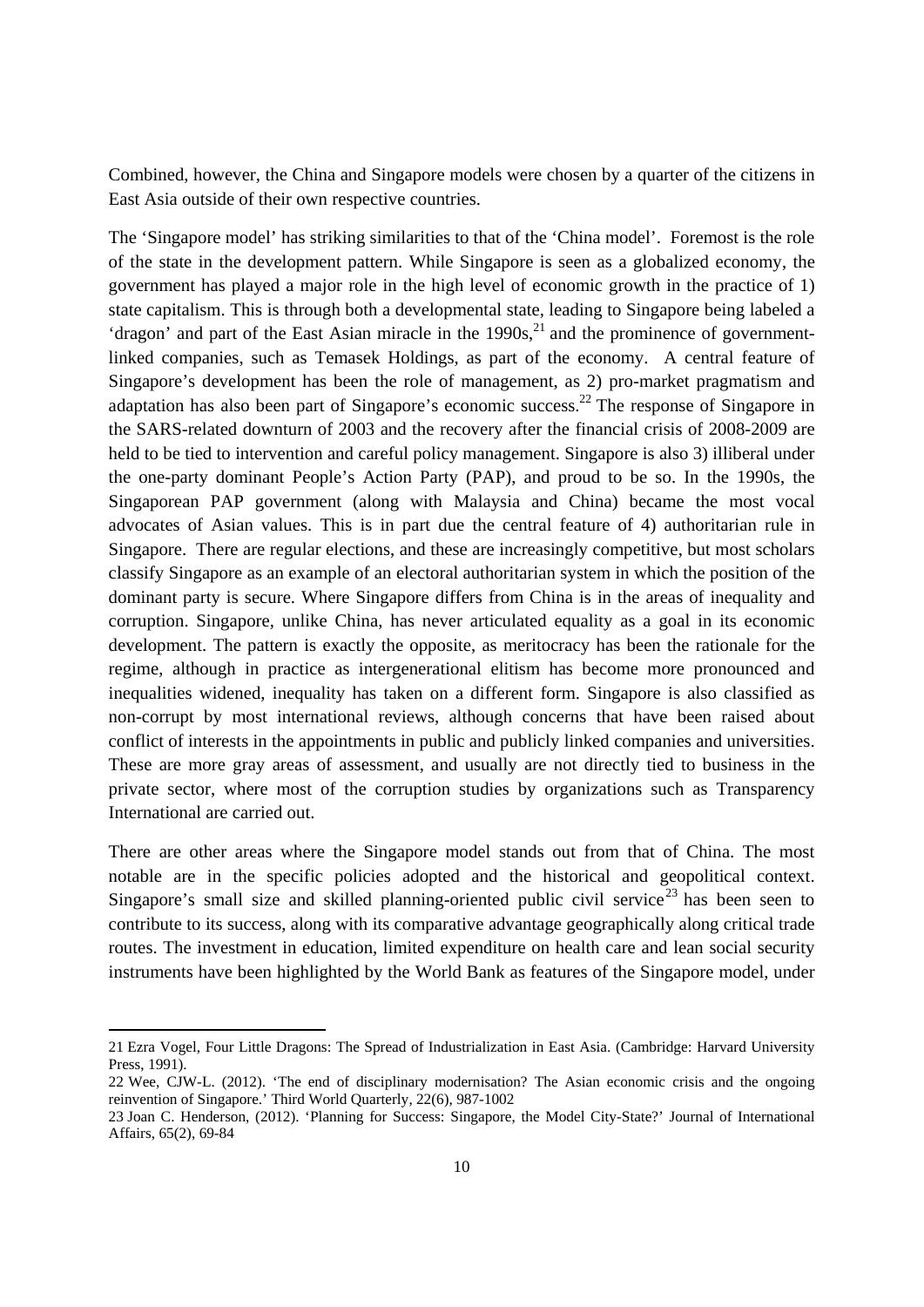Combined, however, the China and Singapore models were chosen by a quarter of the citizens in East Asia outside of their own respective countries.

The 'Singapore model' has striking similarities to that of the 'China model'. Foremost is the role of the state in the development pattern. While Singapore is seen as a globalized economy, the government has played a major role in the high level of economic growth in the practice of 1) state capitalism. This is through both a developmental state, leading to Singapore being labeled a 'dragon' and part of the East Asian miracle in the  $1990s$ <sup>1</sup> and the prominence of governmentlinked companies, such as Temasek Holdings, as part of the economy. A central feature of Singapore's development has been the role of management, as 2) pro-market pragmatism and adaptation has also been part of Singapore's economic success.<sup>22</sup> The response of Singapore in the SARS-related downturn of 2003 and the recovery after the financial crisis of 2008-2009 are held to be tied to intervention and careful policy management. Singapore is also 3) illiberal under the one-party dominant People's Action Party (PAP), and proud to be so. In the 1990s, the Singaporean PAP government (along with Malaysia and China) became the most vocal advocates of Asian values. This is in part due the central feature of 4) authoritarian rule in Singapore. There are regular elections, and these are increasingly competitive, but most scholars classify Singapore as an example of an electoral authoritarian system in which the position of the dominant party is secure. Where Singapore differs from China is in the areas of inequality and corruption. Singapore, unlike China, has never articulated equality as a goal in its economic development. The pattern is exactly the opposite, as meritocracy has been the rationale for the regime, although in practice as intergenerational elitism has become more pronounced and inequalities widened, inequality has taken on a different form. Singapore is also classified as non-corrupt by most international reviews, although concerns that have been raised about conflict of interests in the appointments in public and publicly linked companies and universities. These are more gray areas of assessment, and usually are not directly tied to business in the private sector, where most of the corruption studies by organizations such as Transparency International are carried out.

There are other areas where the Singapore model stands out from that of China. The most notable are in the specific policies adopted and the historical and geopolitical context. Singapore's small size and skilled planning-oriented public civil service<sup>23</sup> has been seen to contribute to its success, along with its comparative advantage geographically along critical trade routes. The investment in education, limited expenditure on health care and lean social security instruments have been highlighted by the World Bank as features of the Singapore model, under

<sup>21</sup> Ezra Vogel, Four Little Dragons: The Spread of Industrialization in East Asia. (Cambridge: Harvard University Press, 1991).

<sup>22</sup> Wee, CJW-L. (2012). 'The end of disciplinary modernisation? The Asian economic crisis and the ongoing reinvention of Singapore.' Third World Quarterly, 22(6), 987-1002

<sup>23</sup> Joan C. Henderson, (2012). 'Planning for Success: Singapore, the Model City-State?' Journal of International Affairs, 65(2), 69-84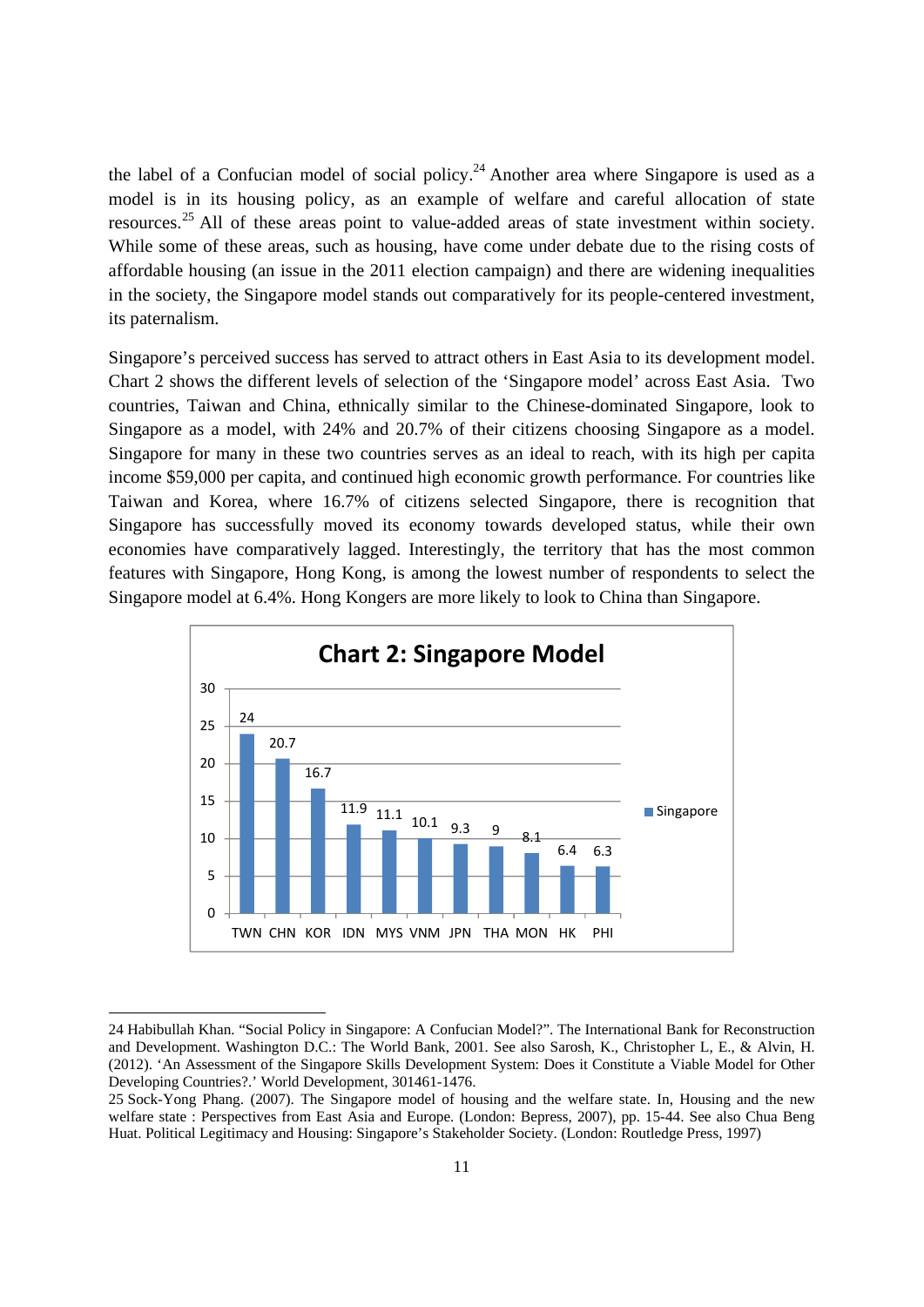the label of a Confucian model of social policy.<sup>24</sup> Another area where Singapore is used as a model is in its housing policy, as an example of welfare and careful allocation of state resources.25 All of these areas point to value-added areas of state investment within society. While some of these areas, such as housing, have come under debate due to the rising costs of affordable housing (an issue in the 2011 election campaign) and there are widening inequalities in the society, the Singapore model stands out comparatively for its people-centered investment, its paternalism.

Singapore's perceived success has served to attract others in East Asia to its development model. Chart 2 shows the different levels of selection of the 'Singapore model' across East Asia. Two countries, Taiwan and China, ethnically similar to the Chinese-dominated Singapore, look to Singapore as a model, with 24% and 20.7% of their citizens choosing Singapore as a model. Singapore for many in these two countries serves as an ideal to reach, with its high per capita income \$59,000 per capita, and continued high economic growth performance. For countries like Taiwan and Korea, where 16.7% of citizens selected Singapore, there is recognition that Singapore has successfully moved its economy towards developed status, while their own economies have comparatively lagged. Interestingly, the territory that has the most common features with Singapore, Hong Kong, is among the lowest number of respondents to select the Singapore model at 6.4%. Hong Kongers are more likely to look to China than Singapore.



<sup>24</sup> Habibullah Khan. "Social Policy in Singapore: A Confucian Model?". The International Bank for Reconstruction and Development. Washington D.C.: The World Bank, 2001. See also Sarosh, K., Christopher L, E., & Alvin, H. (2012). 'An Assessment of the Singapore Skills Development System: Does it Constitute a Viable Model for Other Developing Countries?.' World Development, 301461-1476.

<sup>25</sup> Sock-Yong Phang. (2007). The Singapore model of housing and the welfare state. In, Housing and the new welfare state : Perspectives from East Asia and Europe. (London: Bepress, 2007), pp. 15-44. See also Chua Beng Huat. Political Legitimacy and Housing: Singapore's Stakeholder Society. (London: Routledge Press, 1997)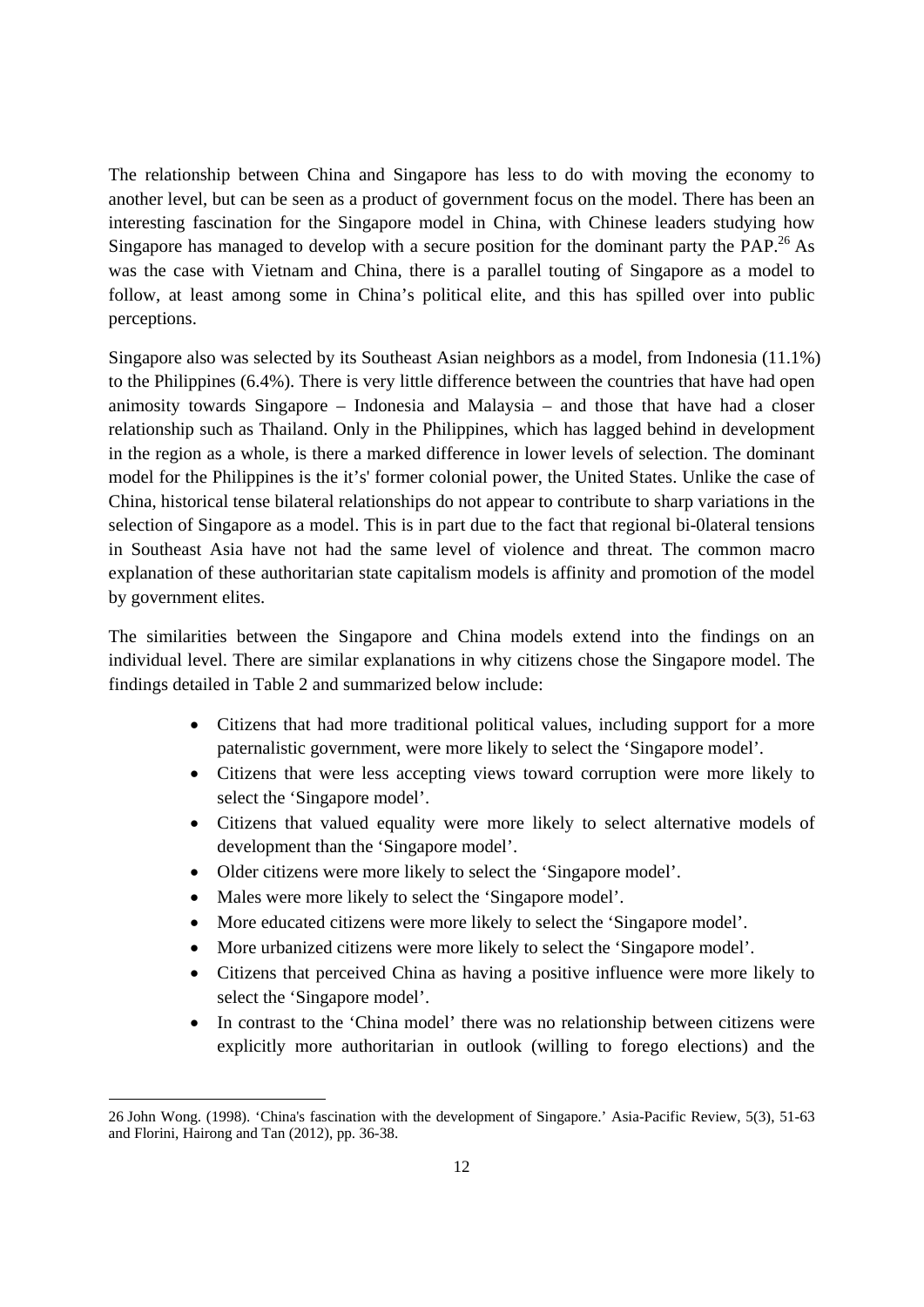The relationship between China and Singapore has less to do with moving the economy to another level, but can be seen as a product of government focus on the model. There has been an interesting fascination for the Singapore model in China, with Chinese leaders studying how Singapore has managed to develop with a secure position for the dominant party the PAP.<sup>26</sup> As was the case with Vietnam and China, there is a parallel touting of Singapore as a model to follow, at least among some in China's political elite, and this has spilled over into public perceptions.

Singapore also was selected by its Southeast Asian neighbors as a model, from Indonesia (11.1%) to the Philippines (6.4%). There is very little difference between the countries that have had open animosity towards Singapore – Indonesia and Malaysia – and those that have had a closer relationship such as Thailand. Only in the Philippines, which has lagged behind in development in the region as a whole, is there a marked difference in lower levels of selection. The dominant model for the Philippines is the it's' former colonial power, the United States. Unlike the case of China, historical tense bilateral relationships do not appear to contribute to sharp variations in the selection of Singapore as a model. This is in part due to the fact that regional bi-0lateral tensions in Southeast Asia have not had the same level of violence and threat. The common macro explanation of these authoritarian state capitalism models is affinity and promotion of the model by government elites.

The similarities between the Singapore and China models extend into the findings on an individual level. There are similar explanations in why citizens chose the Singapore model. The findings detailed in Table 2 and summarized below include:

- Citizens that had more traditional political values, including support for a more paternalistic government, were more likely to select the 'Singapore model'.
- Citizens that were less accepting views toward corruption were more likely to select the 'Singapore model'.
- Citizens that valued equality were more likely to select alternative models of development than the 'Singapore model'.
- Older citizens were more likely to select the 'Singapore model'.
- Males were more likely to select the 'Singapore model'.

- More educated citizens were more likely to select the 'Singapore model'.
- More urbanized citizens were more likely to select the 'Singapore model'.
- Citizens that perceived China as having a positive influence were more likely to select the 'Singapore model'.
- In contrast to the 'China model' there was no relationship between citizens were explicitly more authoritarian in outlook (willing to forego elections) and the

<sup>26</sup> John Wong. (1998). 'China's fascination with the development of Singapore.' Asia-Pacific Review, 5(3), 51-63 and Florini, Hairong and Tan (2012), pp. 36-38.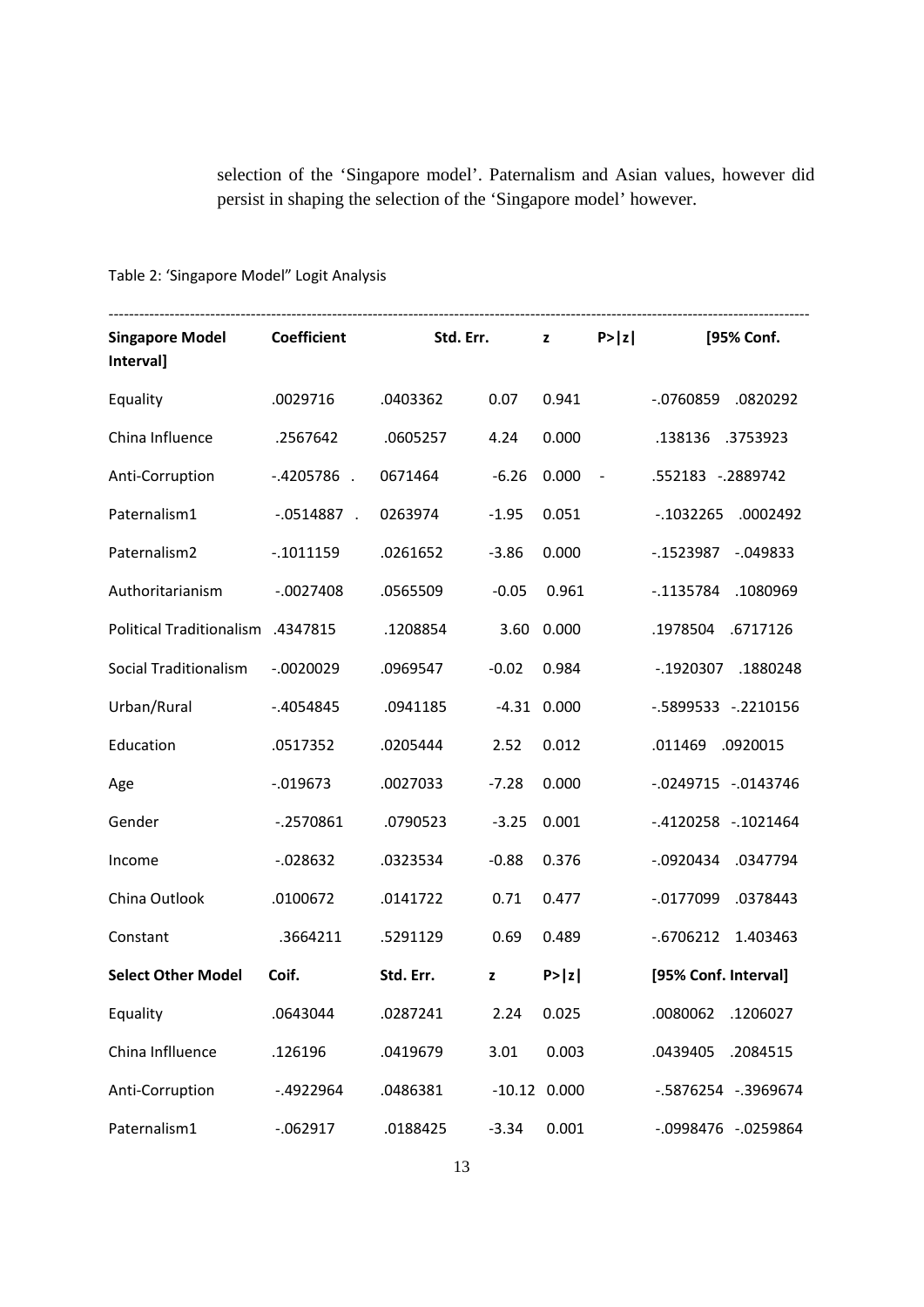selection of the 'Singapore model'. Paternalism and Asian values, however did persist in shaping the selection of the 'Singapore model' however.

# Table 2: 'Singapore Model" Logit Analysis

| <b>Singapore Model</b><br>Interval] | <b>Coefficient</b> | Std. Err. |             | $\mathbf{z}$     | P >  z         | [95% Conf.                  |
|-------------------------------------|--------------------|-----------|-------------|------------------|----------------|-----------------------------|
| Equality                            | .0029716           | .0403362  | 0.07        | 0.941            |                | .0820292<br>$-.0760859$     |
| China Influence                     | .2567642           | .0605257  | 4.24        | 0.000            |                | .138136<br>.3753923         |
| Anti-Corruption                     | $-.4205786$ .      | 0671464   | $-6.26$     | 0.000            | $\blacksquare$ | .552183 -.2889742           |
| Paternalism1                        | $-.0514887$ .      | 0263974   | $-1.95$     | 0.051            |                | $-0.1032265$<br>.0002492    |
| Paternalism2                        | $-.1011159$        | .0261652  | $-3.86$     | 0.000            |                | $-0.1523987$<br>$-0.049833$ |
| Authoritarianism                    | $-.0027408$        | .0565509  | $-0.05$     | 0.961            |                | $-1135784$<br>.1080969      |
| Political Traditionalism .4347815   |                    | .1208854  | 3.60        | 0.000            |                | .1978504<br>.6717126        |
| Social Traditionalism               | $-.0020029$        | .0969547  | $-0.02$     | 0.984            |                | $-0.1920307$<br>.1880248    |
| Urban/Rural                         | $-.4054845$        | .0941185  |             | $-4.31$ $0.000$  |                | -.5899533 -.2210156         |
| Education                           | .0517352           | .0205444  | 2.52        | 0.012            |                | .011469<br>.0920015         |
| Age                                 | $-0.019673$        | .0027033  | $-7.28$     | 0.000            |                | -.0249715 -.0143746         |
| Gender                              | $-0.2570861$       | .0790523  | $-3.25$     | 0.001            |                | -.4120258 -.1021464         |
| Income                              | $-0.028632$        | .0323534  | $-0.88$     | 0.376            |                | $-0920434$<br>.0347794      |
| China Outlook                       | .0100672           | .0141722  | 0.71        | 0.477            |                | $-0.0177099$<br>.0378443    |
| Constant                            | .3664211           | .5291129  | 0.69        | 0.489            |                | 1.403463<br>$-0.6706212$    |
| <b>Select Other Model</b>           | Coif.              | Std. Err. | $\mathbf z$ | P >  z           |                | [95% Conf. Interval]        |
| Equality                            | .0643044           | .0287241  | 2.24        | 0.025            |                | .0080062<br>.1206027        |
| China Inflluence                    | .126196            | .0419679  | 3.01        | 0.003            |                | .0439405<br>.2084515        |
| Anti-Corruption                     | $-.4922964$        | .0486381  |             | $-10.12$ $0.000$ |                | -.5876254 -.3969674         |
| Paternalism1                        | $-062917$          | .0188425  | $-3.34$     | 0.001            |                | -.0998476 -.0259864         |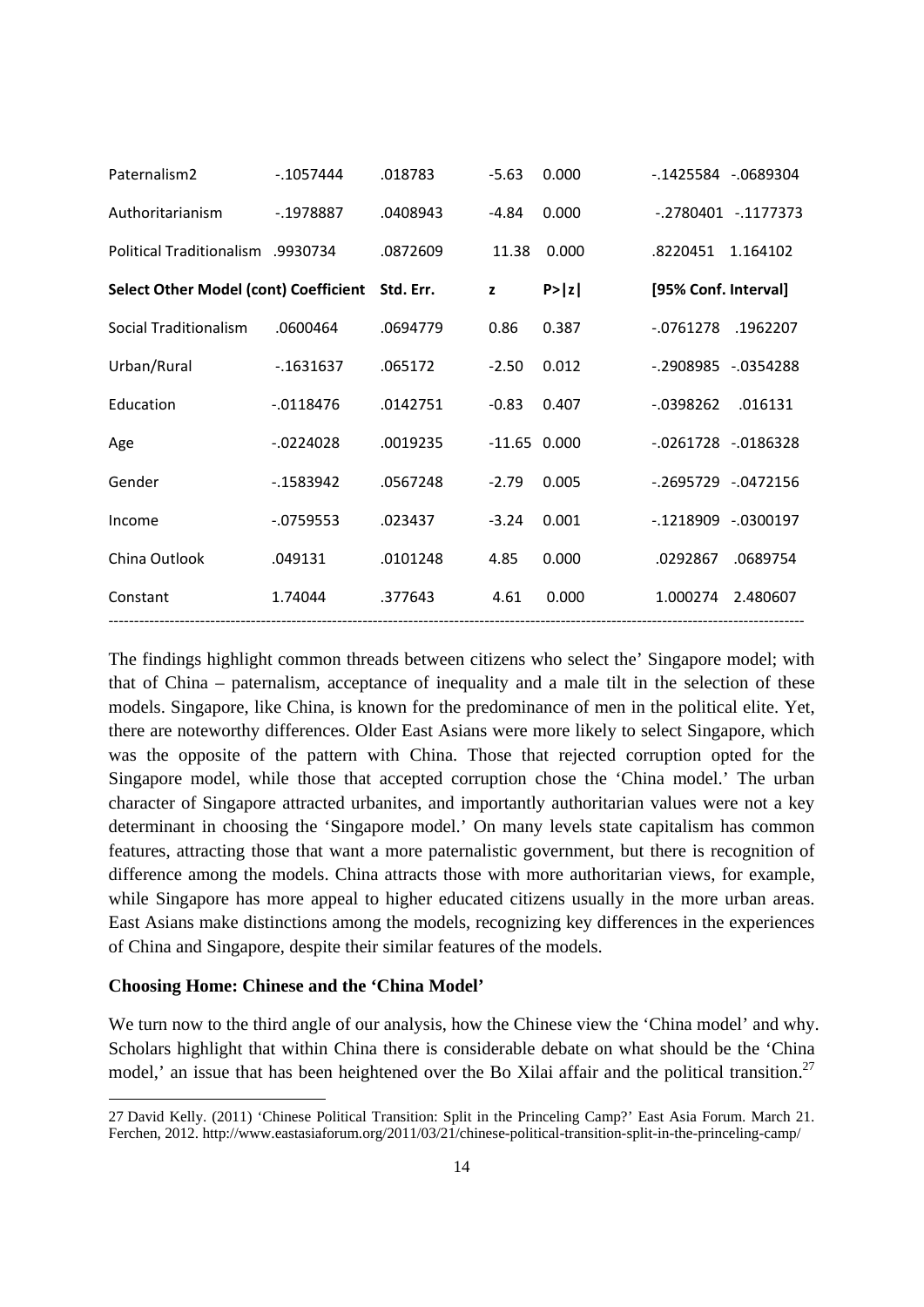| Paternalism <sub>2</sub>                     | $-1057444$ | .018783   | $-5.63$        | 0.000  | $-0.1425584 - 0689304$   |                      |
|----------------------------------------------|------------|-----------|----------------|--------|--------------------------|----------------------|
| Authoritarianism                             | $-1978887$ | .0408943  | -4.84          | 0.000  |                          | $-.2780401-.1177373$ |
| <b>Political Traditionalism</b> .9930734     |            | .0872609  | 11.38          | 0.000  | .8220451                 | 1.164102             |
| <b>Select Other Model (cont) Coefficient</b> |            | Std. Err. | z              | P >  z | [95% Conf. Interval]     |                      |
| Social Traditionalism                        | .0600464   | .0694779  | 0.86           | 0.387  | $-0761278$               | .1962207             |
| Urban/Rural                                  | $-1631637$ | .065172   | $-2.50$        | 0.012  | -.2908985 -.0354288      |                      |
| Education                                    | $-0118476$ | .0142751  | $-0.83$        | 0.407  | $-0398262$               | .016131              |
| Age                                          | $-0224028$ | .0019235  | $-11.65$ 0.000 |        | $-0.0261728 - 0.0186328$ |                      |
| Gender                                       | $-1583942$ | .0567248  | $-2.79$        | 0.005  | $-.2695729-.0472156$     |                      |
| Income                                       | $-0759553$ | .023437   | $-3.24$        | 0.001  | $-0.1218909 - 0300197$   |                      |
| China Outlook                                | .049131    | .0101248  | 4.85           | 0.000  | .0292867                 | .0689754             |
| Constant                                     | 1.74044    | .377643   | 4.61           | 0.000  | 1.000274                 | 2.480607             |
|                                              |            |           |                |        |                          |                      |

The findings highlight common threads between citizens who select the' Singapore model; with that of China – paternalism, acceptance of inequality and a male tilt in the selection of these models. Singapore, like China, is known for the predominance of men in the political elite. Yet, there are noteworthy differences. Older East Asians were more likely to select Singapore, which was the opposite of the pattern with China. Those that rejected corruption opted for the Singapore model, while those that accepted corruption chose the 'China model.' The urban character of Singapore attracted urbanites, and importantly authoritarian values were not a key determinant in choosing the 'Singapore model.' On many levels state capitalism has common features, attracting those that want a more paternalistic government, but there is recognition of difference among the models. China attracts those with more authoritarian views, for example, while Singapore has more appeal to higher educated citizens usually in the more urban areas. East Asians make distinctions among the models, recognizing key differences in the experiences of China and Singapore, despite their similar features of the models.

#### **Choosing Home: Chinese and the 'China Model'**

We turn now to the third angle of our analysis, how the Chinese view the 'China model' and why. Scholars highlight that within China there is considerable debate on what should be the 'China model,' an issue that has been heightened over the Bo Xilai affair and the political transition.<sup>27</sup>

<sup>27</sup> David Kelly. (2011) 'Chinese Political Transition: Split in the Princeling Camp?' East Asia Forum. March 21. Ferchen, 2012. http://www.eastasiaforum.org/2011/03/21/chinese-political-transition-split-in-the-princeling-camp/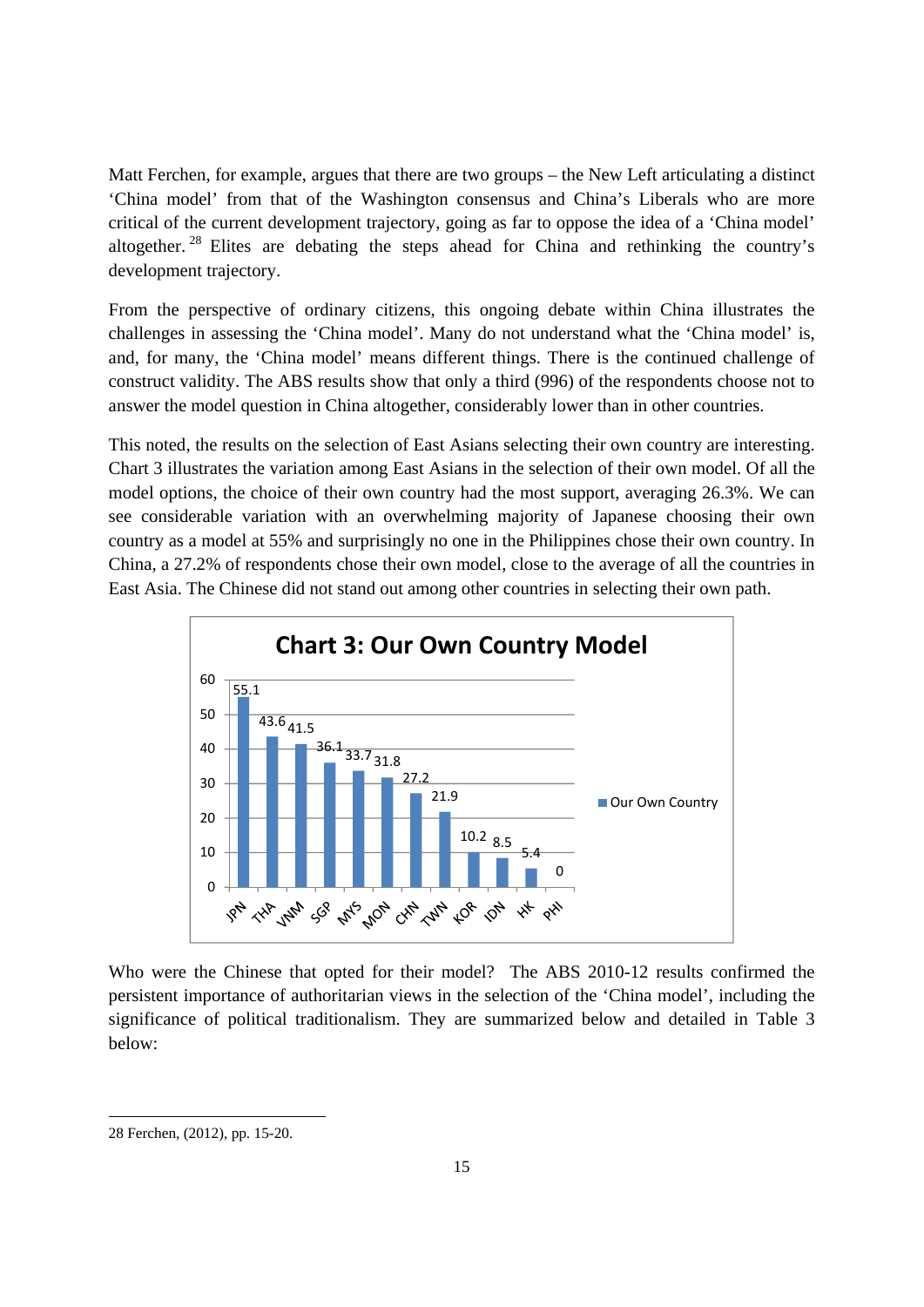Matt Ferchen, for example, argues that there are two groups – the New Left articulating a distinct 'China model' from that of the Washington consensus and China's Liberals who are more critical of the current development trajectory, going as far to oppose the idea of a 'China model' altogether. 28 Elites are debating the steps ahead for China and rethinking the country's development trajectory.

From the perspective of ordinary citizens, this ongoing debate within China illustrates the challenges in assessing the 'China model'. Many do not understand what the 'China model' is, and, for many, the 'China model' means different things. There is the continued challenge of construct validity. The ABS results show that only a third (996) of the respondents choose not to answer the model question in China altogether, considerably lower than in other countries.

This noted, the results on the selection of East Asians selecting their own country are interesting. Chart 3 illustrates the variation among East Asians in the selection of their own model. Of all the model options, the choice of their own country had the most support, averaging 26.3%. We can see considerable variation with an overwhelming majority of Japanese choosing their own country as a model at 55% and surprisingly no one in the Philippines chose their own country. In China, a 27.2% of respondents chose their own model, close to the average of all the countries in East Asia. The Chinese did not stand out among other countries in selecting their own path.



Who were the Chinese that opted for their model? The ABS 2010-12 results confirmed the persistent importance of authoritarian views in the selection of the 'China model', including the significance of political traditionalism. They are summarized below and detailed in Table 3 below:

<sup>28</sup> Ferchen, (2012), pp. 15-20.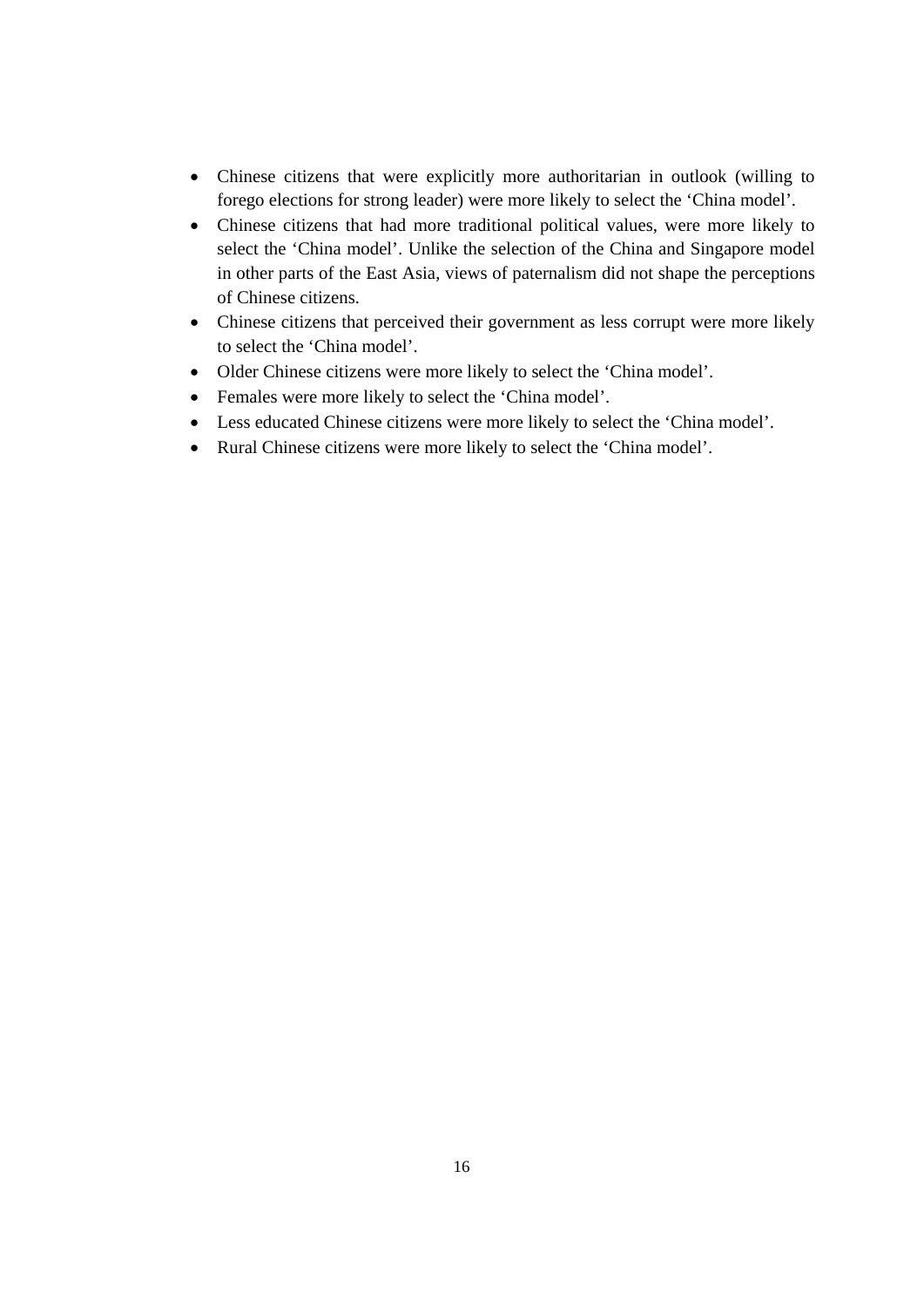- Chinese citizens that were explicitly more authoritarian in outlook (willing to forego elections for strong leader) were more likely to select the 'China model'.
- Chinese citizens that had more traditional political values, were more likely to select the 'China model'. Unlike the selection of the China and Singapore model in other parts of the East Asia, views of paternalism did not shape the perceptions of Chinese citizens.
- Chinese citizens that perceived their government as less corrupt were more likely to select the 'China model'.
- Older Chinese citizens were more likely to select the 'China model'.
- Females were more likely to select the 'China model'.
- Less educated Chinese citizens were more likely to select the 'China model'.
- Rural Chinese citizens were more likely to select the 'China model'.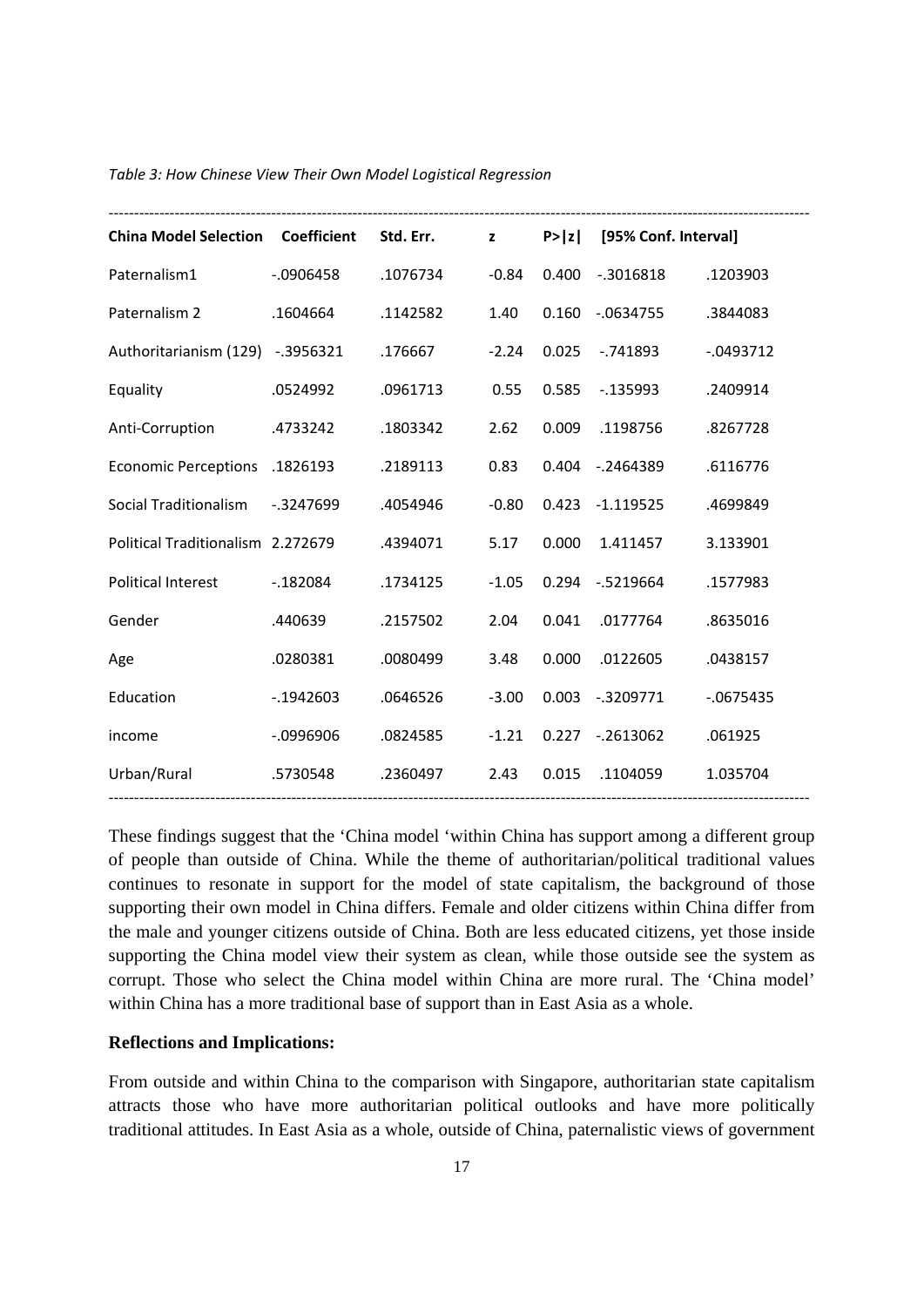| <b>China Model Selection Coefficient</b> |              | Std. Err. | $\mathbf{z}$ |       | P> z  [95% Conf. Interval] |              |
|------------------------------------------|--------------|-----------|--------------|-------|----------------------------|--------------|
| Paternalism1                             | $-0.906458$  | .1076734  | $-0.84$      |       | 0.400 -.3016818            | .1203903     |
| Paternalism 2                            | .1604664     | .1142582  | 1.40         |       | 0.160 -.0634755            | .3844083     |
| Authoritarianism (129) -.3956321         |              | .176667   | $-2.24$      | 0.025 | $-.741893$                 | $-0.0493712$ |
| Equality                                 | .0524992     | .0961713  | 0.55         | 0.585 | -.135993                   | .2409914     |
| Anti-Corruption                          | .4733242     | .1803342  | 2.62         | 0.009 | .1198756                   | .8267728     |
| Economic Perceptions .1826193            |              | .2189113  | 0.83         |       | 0.404 -.2464389            | .6116776     |
| Social Traditionalism -.3247699          |              | .4054946  | $-0.80$      |       | 0.423 -1.119525            | .4699849     |
| Political Traditionalism 2.272679        |              | .4394071  | 5.17         |       | 0.000 1.411457             | 3.133901     |
| Political Interest                       | $-0.182084$  | .1734125  | $-1.05$      |       | 0.294 -.5219664            | .1577983     |
| Gender                                   | .440639      | .2157502  | 2.04         | 0.041 | .0177764                   | .8635016     |
| Age                                      | .0280381     | .0080499  | 3.48         | 0.000 | .0122605                   | .0438157     |
| Education                                | $-0.1942603$ | .0646526  | $-3.00$      |       | 0.003 -.3209771            | $-0675435$   |
| income                                   | $-0996906$   | .0824585  | $-1.21$      |       | $0.227 - 0.2613062$        | .061925      |
| Urban/Rural                              | .5730548     | .2360497  | 2.43         |       | 0.015 .1104059             | 1.035704     |

#### *Table 3: How Chinese View Their Own Model Logistical Regression*

These findings suggest that the 'China model 'within China has support among a different group of people than outside of China. While the theme of authoritarian/political traditional values continues to resonate in support for the model of state capitalism, the background of those supporting their own model in China differs. Female and older citizens within China differ from the male and younger citizens outside of China. Both are less educated citizens, yet those inside supporting the China model view their system as clean, while those outside see the system as corrupt. Those who select the China model within China are more rural. The 'China model' within China has a more traditional base of support than in East Asia as a whole.

#### **Reflections and Implications:**

From outside and within China to the comparison with Singapore, authoritarian state capitalism attracts those who have more authoritarian political outlooks and have more politically traditional attitudes. In East Asia as a whole, outside of China, paternalistic views of government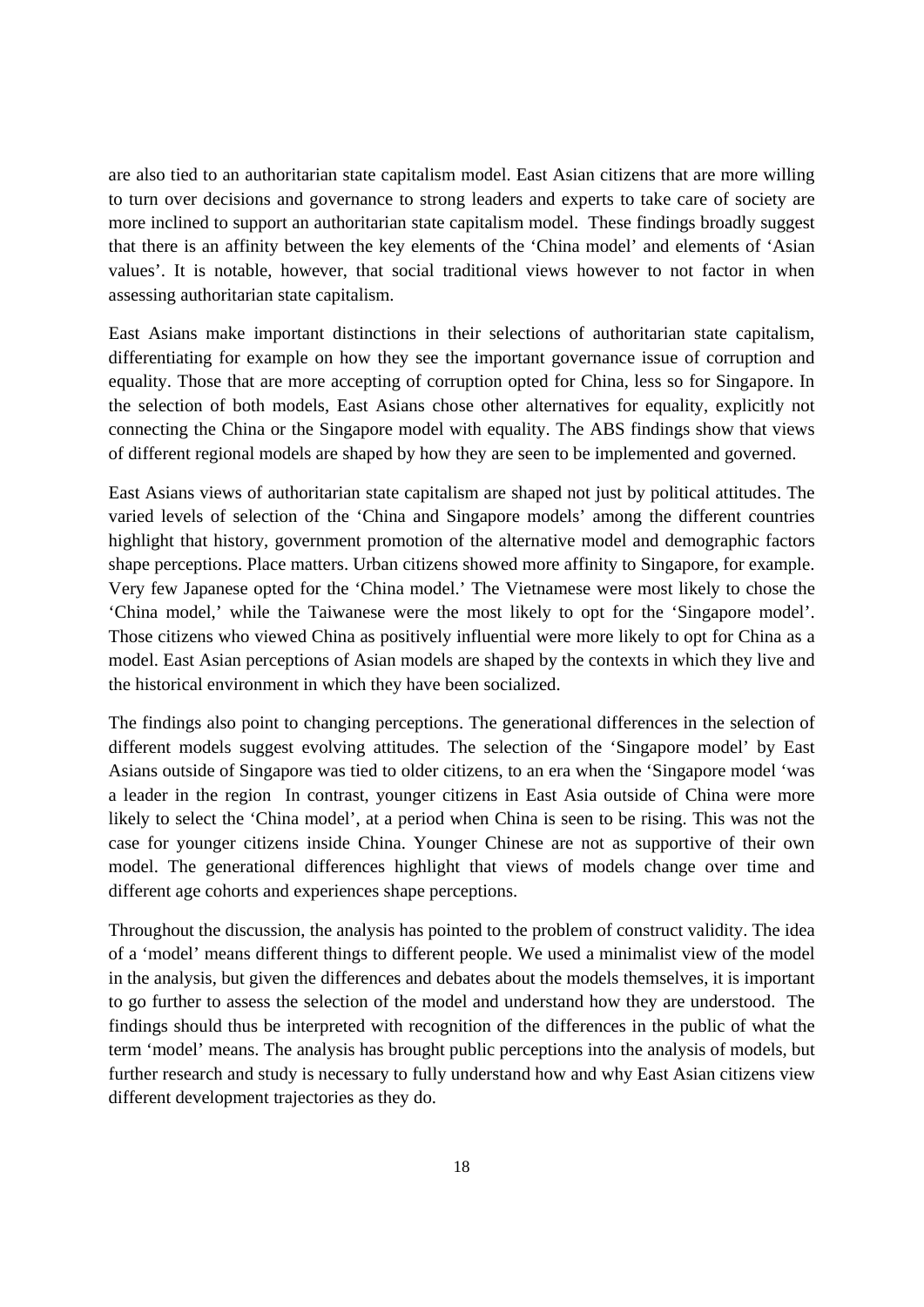are also tied to an authoritarian state capitalism model. East Asian citizens that are more willing to turn over decisions and governance to strong leaders and experts to take care of society are more inclined to support an authoritarian state capitalism model. These findings broadly suggest that there is an affinity between the key elements of the 'China model' and elements of 'Asian values'. It is notable, however, that social traditional views however to not factor in when assessing authoritarian state capitalism.

East Asians make important distinctions in their selections of authoritarian state capitalism, differentiating for example on how they see the important governance issue of corruption and equality. Those that are more accepting of corruption opted for China, less so for Singapore. In the selection of both models, East Asians chose other alternatives for equality, explicitly not connecting the China or the Singapore model with equality. The ABS findings show that views of different regional models are shaped by how they are seen to be implemented and governed.

East Asians views of authoritarian state capitalism are shaped not just by political attitudes. The varied levels of selection of the 'China and Singapore models' among the different countries highlight that history, government promotion of the alternative model and demographic factors shape perceptions. Place matters. Urban citizens showed more affinity to Singapore, for example. Very few Japanese opted for the 'China model.' The Vietnamese were most likely to chose the 'China model,' while the Taiwanese were the most likely to opt for the 'Singapore model'. Those citizens who viewed China as positively influential were more likely to opt for China as a model. East Asian perceptions of Asian models are shaped by the contexts in which they live and the historical environment in which they have been socialized.

The findings also point to changing perceptions. The generational differences in the selection of different models suggest evolving attitudes. The selection of the 'Singapore model' by East Asians outside of Singapore was tied to older citizens, to an era when the 'Singapore model 'was a leader in the region In contrast, younger citizens in East Asia outside of China were more likely to select the 'China model', at a period when China is seen to be rising. This was not the case for younger citizens inside China. Younger Chinese are not as supportive of their own model. The generational differences highlight that views of models change over time and different age cohorts and experiences shape perceptions.

Throughout the discussion, the analysis has pointed to the problem of construct validity. The idea of a 'model' means different things to different people. We used a minimalist view of the model in the analysis, but given the differences and debates about the models themselves, it is important to go further to assess the selection of the model and understand how they are understood. The findings should thus be interpreted with recognition of the differences in the public of what the term 'model' means. The analysis has brought public perceptions into the analysis of models, but further research and study is necessary to fully understand how and why East Asian citizens view different development trajectories as they do.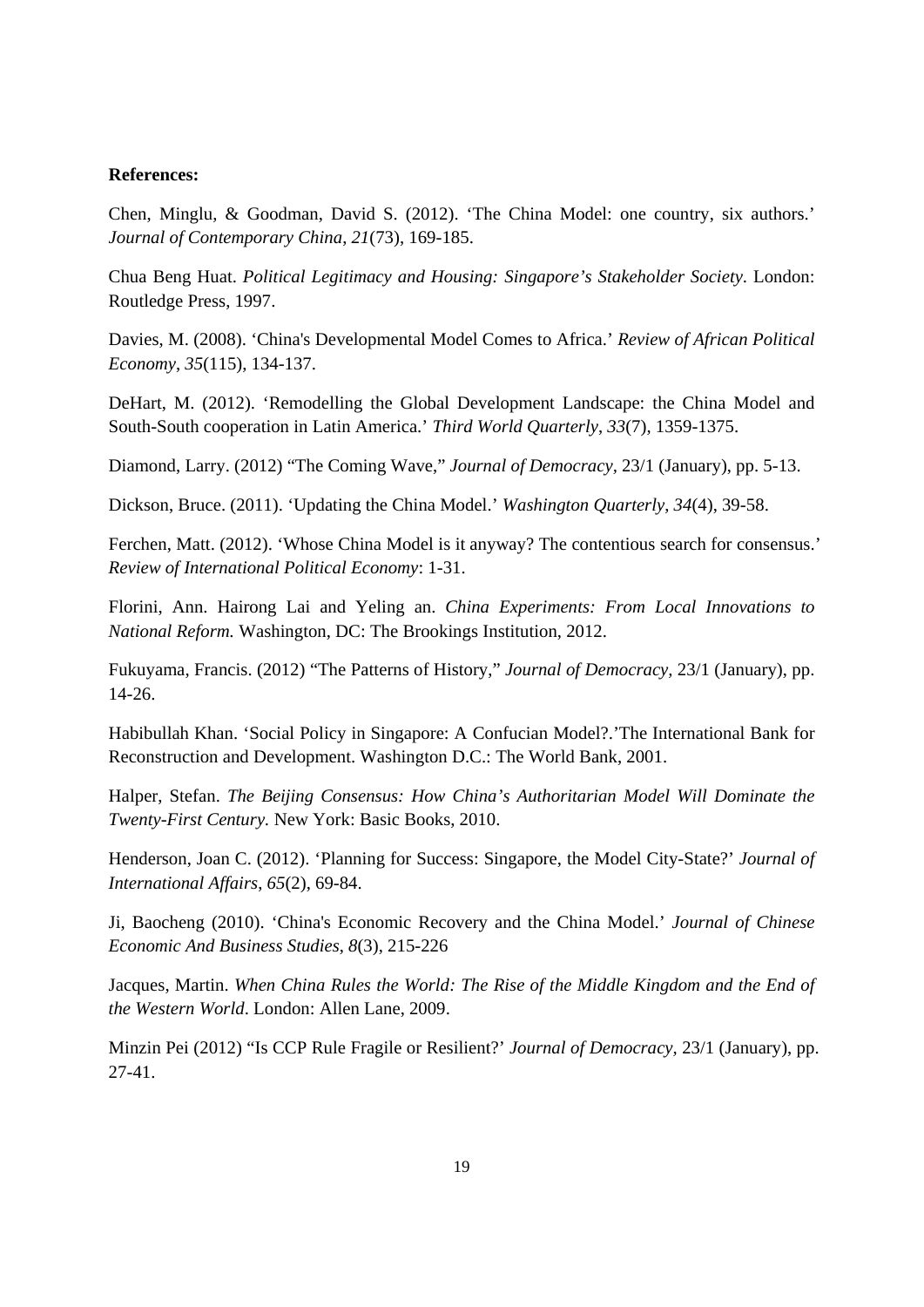#### **References:**

Chen, Minglu, & Goodman, David S. (2012). 'The China Model: one country, six authors.' *Journal of Contemporary China*, *21*(73), 169-185.

Chua Beng Huat. *Political Legitimacy and Housing: Singapore's Stakeholder Society*. London: Routledge Press, 1997.

Davies, M. (2008). 'China's Developmental Model Comes to Africa.' *Review of African Political Economy*, *35*(115), 134-137.

DeHart, M. (2012). 'Remodelling the Global Development Landscape: the China Model and South-South cooperation in Latin America.' *Third World Quarterly*, *33*(7), 1359-1375.

Diamond, Larry. (2012) "The Coming Wave," *Journal of Democracy,* 23/1 (January), pp. 5-13.

Dickson, Bruce. (2011). 'Updating the China Model.' *Washington Quarterly*, *34*(4), 39-58.

Ferchen, Matt. (2012). 'Whose China Model is it anyway? The contentious search for consensus.' *Review of International Political Economy*: 1-31.

Florini, Ann. Hairong Lai and Yeling an. *China Experiments: From Local Innovations to National Reform.* Washington, DC: The Brookings Institution, 2012.

Fukuyama, Francis. (2012) "The Patterns of History," *Journal of Democracy,* 23/1 (January), pp. 14-26.

Habibullah Khan. 'Social Policy in Singapore: A Confucian Model?.'The International Bank for Reconstruction and Development. Washington D.C.: The World Bank, 2001.

Halper, Stefan. *The Beijing Consensus: How China's Authoritarian Model Will Dominate the Twenty-First Century.* New York: Basic Books, 2010.

Henderson, Joan C. (2012). 'Planning for Success: Singapore, the Model City-State?' *Journal of International Affairs*, *65*(2), 69-84.

Ji, Baocheng (2010). 'China's Economic Recovery and the China Model.' *Journal of Chinese Economic And Business Studies*, *8*(3), 215-226

Jacques, Martin. *When China Rules the World: The Rise of the Middle Kingdom and the End of the Western World*. London: Allen Lane, 2009.

Minzin Pei (2012) "Is CCP Rule Fragile or Resilient?' *Journal of Democracy,* 23/1 (January), pp. 27-41.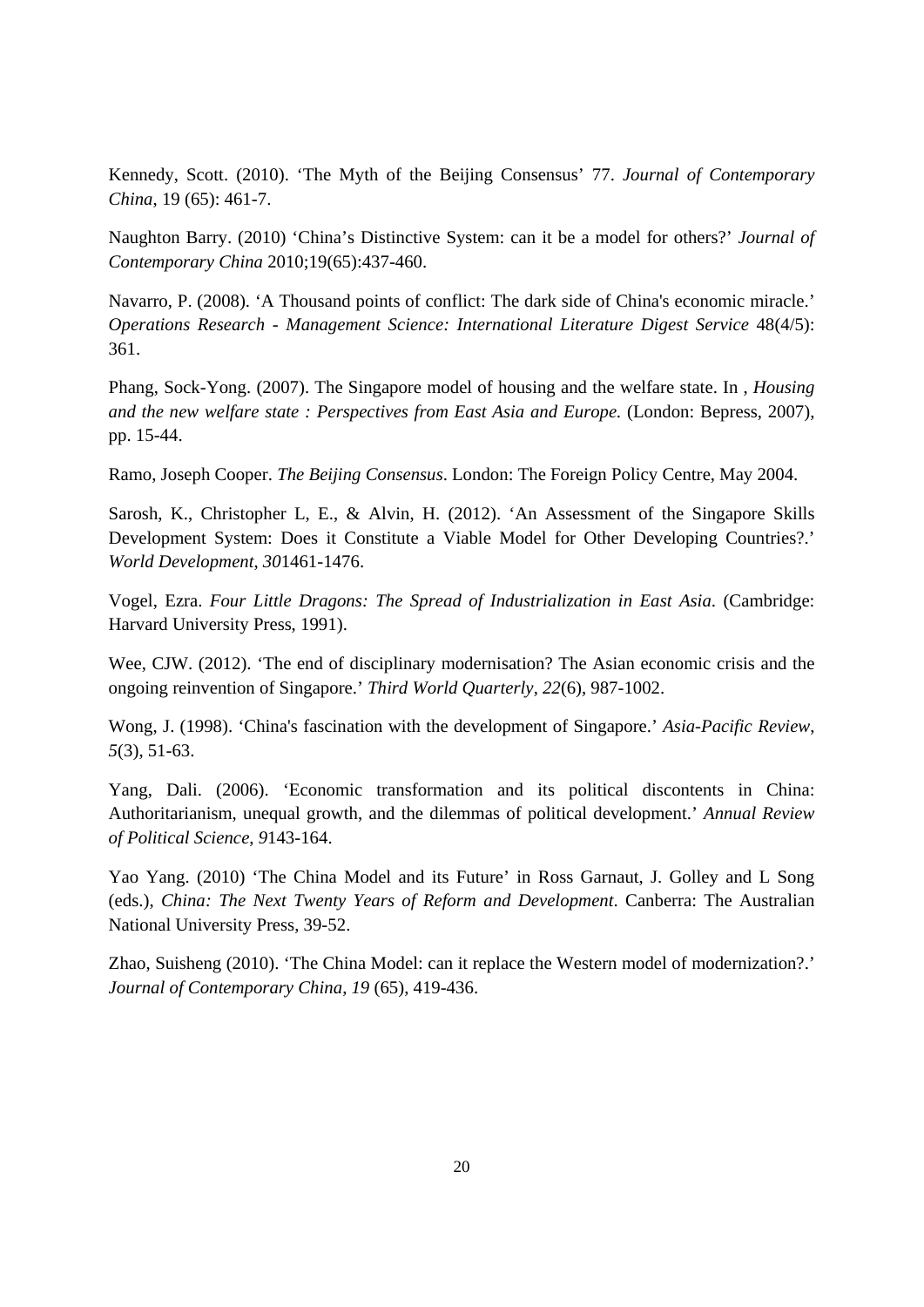Kennedy, Scott. (2010). 'The Myth of the Beijing Consensus' 77. *Journal of Contemporary China*, 19 (65): 461-7.

Naughton Barry. (2010) 'China's Distinctive System: can it be a model for others?' *Journal of Contemporary China* 2010;19(65):437-460.

Navarro, P. (2008). 'A Thousand points of conflict: The dark side of China's economic miracle.' *Operations Research - Management Science: International Literature Digest Service* 48(4/5): 361.

Phang, Sock-Yong. (2007). The Singapore model of housing and the welfare state. In , *Housing and the new welfare state : Perspectives from East Asia and Europe.* (London: Bepress, 2007), pp. 15-44.

Ramo, Joseph Cooper. *The Beijing Consensus*. London: The Foreign Policy Centre, May 2004.

Sarosh, K., Christopher L, E., & Alvin, H. (2012). 'An Assessment of the Singapore Skills Development System: Does it Constitute a Viable Model for Other Developing Countries?.' *World Development*, *30*1461-1476.

Vogel, Ezra. *Four Little Dragons: The Spread of Industrialization in East Asia*. (Cambridge: Harvard University Press, 1991).

Wee, CJW. (2012). 'The end of disciplinary modernisation? The Asian economic crisis and the ongoing reinvention of Singapore.' *Third World Quarterly*, *22*(6), 987-1002.

Wong, J. (1998). 'China's fascination with the development of Singapore.' *Asia-Pacific Review*, *5*(3), 51-63.

Yang, Dali. (2006). 'Economic transformation and its political discontents in China: Authoritarianism, unequal growth, and the dilemmas of political development.' *Annual Review of Political Science*, *9*143-164.

Yao Yang. (2010) 'The China Model and its Future' in Ross Garnaut, J. Golley and L Song (eds.), *China: The Next Twenty Years of Reform and Development*. Canberra: The Australian National University Press, 39-52.

Zhao, Suisheng (2010). 'The China Model: can it replace the Western model of modernization?.' *Journal of Contemporary China*, *19* (65), 419-436.